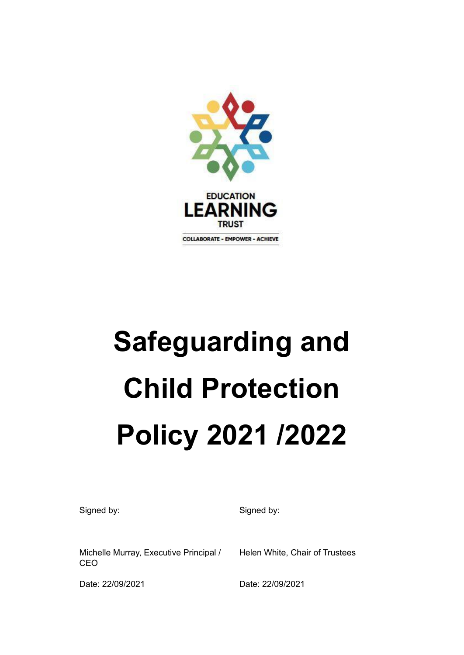

# **Safeguarding and Child Protection Policy 2021 /2022**

Signed by: Signed by: Signed by:

Michelle Murray, Executive Principal / **CEO** 

Helen White, Chair of Trustees

Date: 22/09/2021 Date: 22/09/2021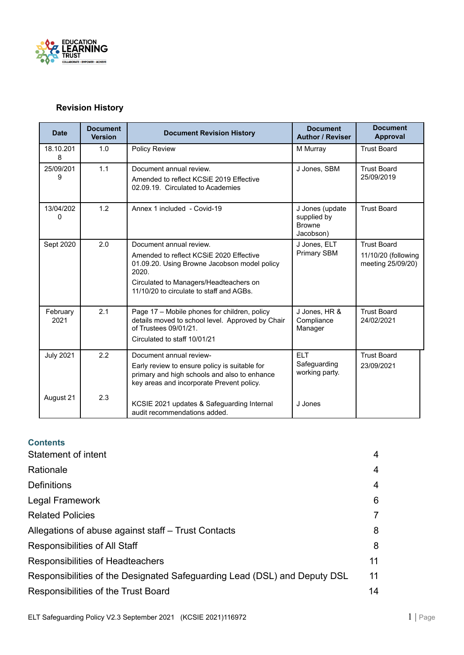

#### **Revision History**

| <b>Date</b>      | <b>Document</b><br><b>Version</b> | <b>Document Revision History</b>                                                                                                                                                                                  | <b>Document</b><br><b>Author / Reviser</b>                   | <b>Document</b><br>Approval                                    |
|------------------|-----------------------------------|-------------------------------------------------------------------------------------------------------------------------------------------------------------------------------------------------------------------|--------------------------------------------------------------|----------------------------------------------------------------|
| 18.10.201<br>8   | 1.0                               | Policy Review                                                                                                                                                                                                     | M Murray                                                     | <b>Trust Board</b>                                             |
| 25/09/201<br>9   | 1.1                               | Document annual review.<br>Amended to reflect KCSIE 2019 Effective<br>02.09.19. Circulated to Academies                                                                                                           | J Jones, SBM                                                 | <b>Trust Board</b><br>25/09/2019                               |
| 13/04/202<br>0   | 1.2                               | Annex 1 included - Covid-19                                                                                                                                                                                       | J Jones (update<br>supplied by<br><b>Browne</b><br>Jacobson) | <b>Trust Board</b>                                             |
| Sept 2020        | 2.0                               | Document annual review.<br>Amended to reflect KCSIE 2020 Effective<br>01.09.20. Using Browne Jacobson model policy<br>2020.<br>Circulated to Managers/Headteachers on<br>11/10/20 to circulate to staff and AGBs. | J Jones, ELT<br>Primary SBM                                  | <b>Trust Board</b><br>11/10/20 (following<br>meeting 25/09/20) |
| February<br>2021 | 2.1                               | Page 17 - Mobile phones for children, policy<br>details moved to school level. Approved by Chair<br>of Trustees 09/01/21.<br>Circulated to staff 10/01/21                                                         | J Jones, HR &<br>Compliance<br>Manager                       | <b>Trust Board</b><br>24/02/2021                               |
| <b>July 2021</b> | 2.2                               | Document annual review-<br>Early review to ensure policy is suitable for<br>primary and high schools and also to enhance<br>key areas and incorporate Prevent policy.                                             | <b>ELT</b><br>Safeguarding<br>working party.                 | <b>Trust Board</b><br>23/09/2021                               |
| August 21        | 2.3                               | KCSIE 2021 updates & Safeguarding Internal<br>audit recommendations added.                                                                                                                                        | J Jones                                                      |                                                                |

#### **Contents**

| Statement of intent                                                       | 4  |
|---------------------------------------------------------------------------|----|
| Rationale                                                                 | 4  |
| <b>Definitions</b>                                                        | 4  |
| <b>Legal Framework</b>                                                    | 6  |
| <b>Related Policies</b>                                                   | 7  |
| Allegations of abuse against staff – Trust Contacts                       | 8  |
| Responsibilities of All Staff                                             | 8  |
| Responsibilities of Headteachers                                          | 11 |
| Responsibilities of the Designated Safeguarding Lead (DSL) and Deputy DSL | 11 |
| Responsibilities of the Trust Board                                       | 14 |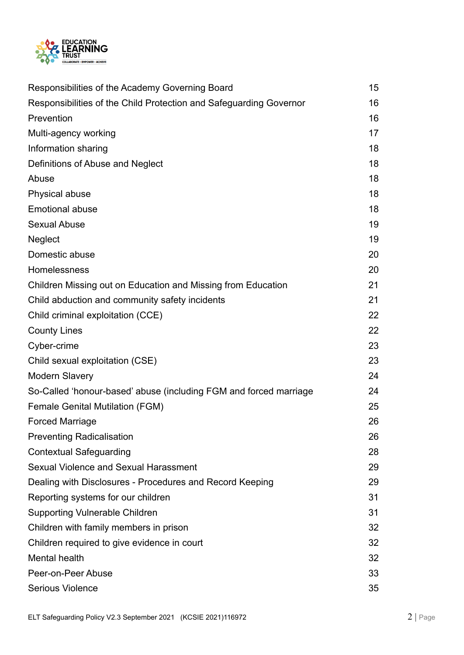

| Responsibilities of the Academy Governing Board                    | 15 |
|--------------------------------------------------------------------|----|
| Responsibilities of the Child Protection and Safeguarding Governor | 16 |
| Prevention                                                         | 16 |
| Multi-agency working                                               | 17 |
| Information sharing                                                | 18 |
| Definitions of Abuse and Neglect                                   | 18 |
| Abuse                                                              | 18 |
| Physical abuse                                                     | 18 |
| <b>Emotional abuse</b>                                             | 18 |
| <b>Sexual Abuse</b>                                                | 19 |
| <b>Neglect</b>                                                     | 19 |
| Domestic abuse                                                     | 20 |
| Homelessness                                                       | 20 |
| Children Missing out on Education and Missing from Education       | 21 |
| Child abduction and community safety incidents                     | 21 |
| Child criminal exploitation (CCE)                                  | 22 |
| <b>County Lines</b>                                                | 22 |
| Cyber-crime                                                        | 23 |
| Child sexual exploitation (CSE)                                    | 23 |
| <b>Modern Slavery</b>                                              | 24 |
| So-Called 'honour-based' abuse (including FGM and forced marriage  | 24 |
| <b>Female Genital Mutilation (FGM)</b>                             | 25 |
| <b>Forced Marriage</b>                                             | 26 |
| <b>Preventing Radicalisation</b>                                   | 26 |
| <b>Contextual Safeguarding</b>                                     | 28 |
| Sexual Violence and Sexual Harassment                              | 29 |
| Dealing with Disclosures - Procedures and Record Keeping           | 29 |
| Reporting systems for our children                                 | 31 |
| <b>Supporting Vulnerable Children</b>                              | 31 |
| Children with family members in prison                             | 32 |
| Children required to give evidence in court                        | 32 |
| Mental health                                                      | 32 |
| Peer-on-Peer Abuse                                                 | 33 |
| <b>Serious Violence</b>                                            | 35 |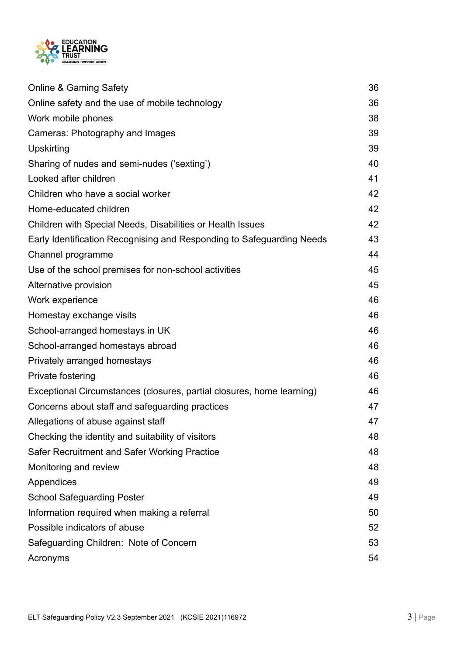

| <b>Online &amp; Gaming Safety</b>                                     | 36 |
|-----------------------------------------------------------------------|----|
| Online safety and the use of mobile technology                        | 36 |
| Work mobile phones                                                    | 38 |
| Cameras: Photography and Images                                       | 39 |
| Upskirting                                                            | 39 |
| Sharing of nudes and semi-nudes ('sexting')                           | 40 |
| Looked after children                                                 | 41 |
| Children who have a social worker                                     | 42 |
| Home-educated children                                                | 42 |
| Children with Special Needs, Disabilities or Health Issues            | 42 |
| Early Identification Recognising and Responding to Safeguarding Needs | 43 |
| Channel programme                                                     | 44 |
| Use of the school premises for non-school activities                  | 45 |
| Alternative provision                                                 | 45 |
| Work experience                                                       | 46 |
| Homestay exchange visits                                              | 46 |
| School-arranged homestays in UK                                       | 46 |
| School-arranged homestays abroad                                      | 46 |
| Privately arranged homestays                                          | 46 |
| Private fostering                                                     | 46 |
| Exceptional Circumstances (closures, partial closures, home learning) | 46 |
| Concerns about staff and safeguarding practices                       | 47 |
| Allegations of abuse against staff                                    | 47 |
| Checking the identity and suitability of visitors                     | 48 |
| Safer Recruitment and Safer Working Practice                          | 48 |
| Monitoring and review                                                 | 48 |
| Appendices                                                            | 49 |
| <b>School Safeguarding Poster</b>                                     | 49 |
| Information required when making a referral                           | 50 |
| Possible indicators of abuse                                          | 52 |
| Safeguarding Children: Note of Concern                                | 53 |
| Acronyms                                                              | 54 |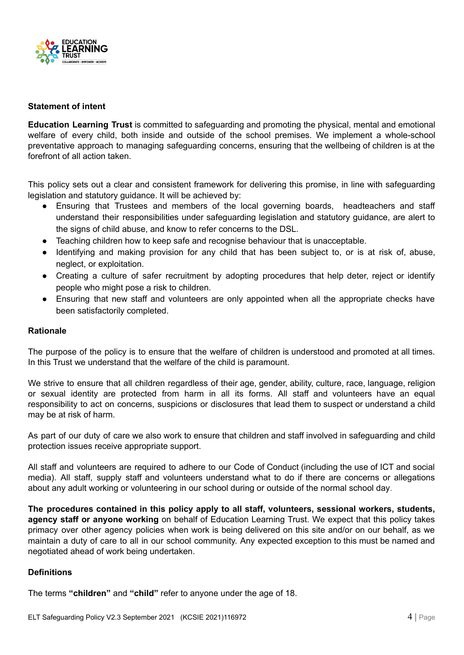

#### <span id="page-4-0"></span>**Statement of intent**

**Education Learning Trust** is committed to safeguarding and promoting the physical, mental and emotional welfare of every child, both inside and outside of the school premises. We implement a whole-school preventative approach to managing safeguarding concerns, ensuring that the wellbeing of children is at the forefront of all action taken.

This policy sets out a clear and consistent framework for delivering this promise, in line with safeguarding legislation and statutory guidance. It will be achieved by:

- Ensuring that Trustees and members of the local governing boards, headteachers and staff understand their responsibilities under safeguarding legislation and statutory guidance, are alert to the signs of child abuse, and know to refer concerns to the DSL.
- Teaching children how to keep safe and recognise behaviour that is unacceptable.
- Identifying and making provision for any child that has been subject to, or is at risk of, abuse, neglect, or exploitation.
- Creating a culture of safer recruitment by adopting procedures that help deter, reject or identify people who might pose a risk to children.
- Ensuring that new staff and volunteers are only appointed when all the appropriate checks have been satisfactorily completed.

#### <span id="page-4-1"></span>**Rationale**

The purpose of the policy is to ensure that the welfare of children is understood and promoted at all times. In this Trust we understand that the welfare of the child is paramount.

We strive to ensure that all children regardless of their age, gender, ability, culture, race, language, religion or sexual identity are protected from harm in all its forms. All staff and volunteers have an equal responsibility to act on concerns, suspicions or disclosures that lead them to suspect or understand a child may be at risk of harm.

As part of our duty of care we also work to ensure that children and staff involved in safeguarding and child protection issues receive appropriate support.

All staff and volunteers are required to adhere to our Code of Conduct (including the use of ICT and social media). All staff, supply staff and volunteers understand what to do if there are concerns or allegations about any adult working or volunteering in our school during or outside of the normal school day.

**The procedures contained in this policy apply to all staff, volunteers, sessional workers, students, agency staff or anyone working** on behalf of Education Learning Trust. We expect that this policy takes primacy over other agency policies when work is being delivered on this site and/or on our behalf, as we maintain a duty of care to all in our school community. Any expected exception to this must be named and negotiated ahead of work being undertaken.

#### <span id="page-4-2"></span>**Definitions**

The terms **"children"** and **"child"** refer to anyone under the age of 18.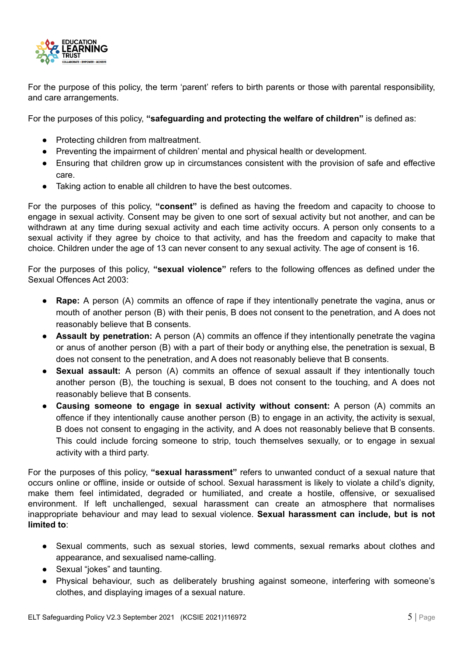

For the purpose of this policy, the term 'parent' refers to birth parents or those with parental responsibility, and care arrangements.

For the purposes of this policy, **"safeguarding and protecting the welfare of children"** is defined as:

- Protecting children from maltreatment.
- Preventing the impairment of children' mental and physical health or development.
- Ensuring that children grow up in circumstances consistent with the provision of safe and effective care.
- Taking action to enable all children to have the best outcomes.

For the purposes of this policy, **"consent"** is defined as having the freedom and capacity to choose to engage in sexual activity. Consent may be given to one sort of sexual activity but not another, and can be withdrawn at any time during sexual activity and each time activity occurs. A person only consents to a sexual activity if they agree by choice to that activity, and has the freedom and capacity to make that choice. Children under the age of 13 can never consent to any sexual activity. The age of consent is 16.

For the purposes of this policy, **"sexual violence"** refers to the following offences as defined under the Sexual Offences Act 2003:

- **Rape:** A person (A) commits an offence of rape if they intentionally penetrate the vagina, anus or mouth of another person (B) with their penis, B does not consent to the penetration, and A does not reasonably believe that B consents.
- **Assault by penetration:** A person (A) commits an offence if they intentionally penetrate the vagina or anus of another person (B) with a part of their body or anything else, the penetration is sexual, B does not consent to the penetration, and A does not reasonably believe that B consents.
- **Sexual assault:** A person (A) commits an offence of sexual assault if they intentionally touch another person (B), the touching is sexual, B does not consent to the touching, and A does not reasonably believe that B consents.
- **Causing someone to engage in sexual activity without consent:** A person (A) commits an offence if they intentionally cause another person (B) to engage in an activity, the activity is sexual, B does not consent to engaging in the activity, and A does not reasonably believe that B consents. This could include forcing someone to strip, touch themselves sexually, or to engage in sexual activity with a third party.

For the purposes of this policy, **"sexual harassment"** refers to unwanted conduct of a sexual nature that occurs online or offline, inside or outside of school. Sexual harassment is likely to violate a child's dignity, make them feel intimidated, degraded or humiliated, and create a hostile, offensive, or sexualised environment. If left unchallenged, sexual harassment can create an atmosphere that normalises inappropriate behaviour and may lead to sexual violence. **Sexual harassment can include, but is not limited to**:

- Sexual comments, such as sexual stories, lewd comments, sexual remarks about clothes and appearance, and sexualised name-calling.
- Sexual "jokes" and taunting.
- Physical behaviour, such as deliberately brushing against someone, interfering with someone's clothes, and displaying images of a sexual nature.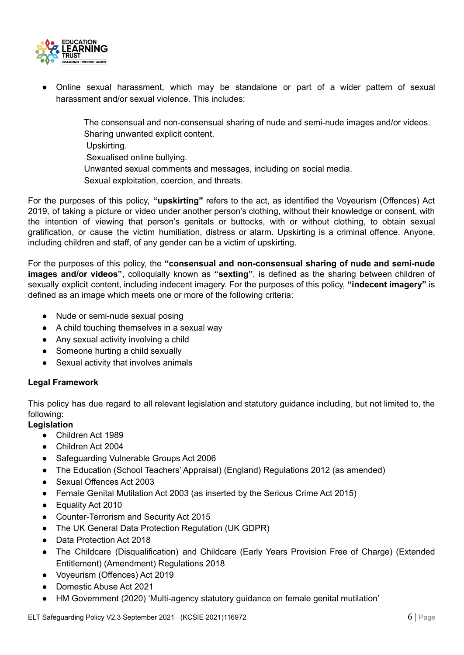

Online sexual harassment, which may be standalone or part of a wider pattern of sexual harassment and/or sexual violence. This includes:

> The consensual and non-consensual sharing of nude and semi-nude images and/or videos. Sharing unwanted explicit content.

Upskirting.

Sexualised online bullying.

Unwanted sexual comments and messages, including on social media.

Sexual exploitation, coercion, and threats.

For the purposes of this policy, **"upskirting"** refers to the act, as identified the Voyeurism (Offences) Act 2019, of taking a picture or video under another person's clothing, without their knowledge or consent, with the intention of viewing that person's genitals or buttocks, with or without clothing, to obtain sexual gratification, or cause the victim humiliation, distress or alarm. Upskirting is a criminal offence. Anyone, including children and staff, of any gender can be a victim of upskirting.

For the purposes of this policy, the **"consensual and non-consensual sharing of nude and semi-nude images and/or videos"**, colloquially known as **"sexting"**, is defined as the sharing between children of sexually explicit content, including indecent imagery. For the purposes of this policy, **"indecent imagery"** is defined as an image which meets one or more of the following criteria:

- Nude or semi-nude sexual posing
- A child touching themselves in a sexual way
- Any sexual activity involving a child
- Someone hurting a child sexually
- Sexual activity that involves animals

#### <span id="page-6-0"></span>**Legal Framework**

This policy has due regard to all relevant legislation and statutory guidance including, but not limited to, the following:

**Legislation**

- Children Act 1989
- Children Act 2004
- Safeguarding Vulnerable Groups Act 2006
- The Education (School Teachers' Appraisal) (England) Regulations 2012 (as amended)
- Sexual Offences Act 2003
- Female Genital Mutilation Act 2003 (as inserted by the Serious Crime Act 2015)
- Equality Act 2010
- Counter-Terrorism and Security Act 2015
- The UK General Data Protection Regulation (UK GDPR)
- Data Protection Act 2018
- The Childcare (Disqualification) and Childcare (Early Years Provision Free of Charge) (Extended Entitlement) (Amendment) Regulations 2018
- Voyeurism (Offences) Act 2019
- Domestic Abuse Act 2021
- HM Government (2020) 'Multi-agency statutory guidance on female genital mutilation'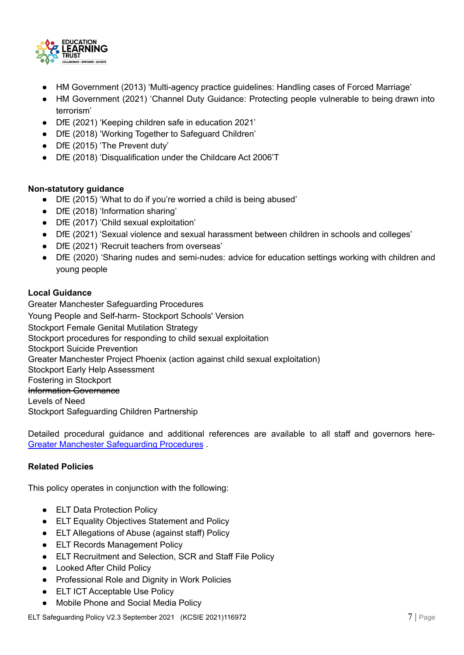

- HM Government (2013) 'Multi-agency practice guidelines: Handling cases of Forced Marriage'
- HM Government (2021) 'Channel Duty Guidance: Protecting people vulnerable to being drawn into terrorism'
- DfE (2021) 'Keeping children safe in education 2021'
- DfE (2018) 'Working Together to Safeguard Children'
- DfE (2015) 'The Prevent duty'
- DfE (2018) 'Disqualification under the Childcare Act 2006'T

#### **Non-statutory guidance**

- DfE (2015) 'What to do if you're worried a child is being abused'
- DfE (2018) 'Information sharing'
- DfE (2017) 'Child sexual exploitation'
- DfE (2021) 'Sexual violence and sexual harassment between children in schools and colleges'
- DfE (2021) 'Recruit teachers from overseas'
- DfE (2020) 'Sharing nudes and semi-nudes: advice for education settings working with children and young people

#### **Local Guidance**

Greater Manchester [Safeguarding](http://greatermanchesterscb.proceduresonline.com/) Procedures Young People and [Self-harm-](http://www.safeguardingchildreninstockport.org.uk/wp-content/uploads/2019/02/Stockport-Self-Harm-Policy-2019.pdf) Stockport Schools' Version Stockport Female Genital [Mutilation](http://www.safeguardingchildreninstockport.org.uk/wp-content/uploads/2020/10/FGM-Strategy.pdf) Strategy Stockport procedures for responding to child sexual [exploitation](http://www.safeguardingchildreninstockport.org.uk/wp-content/uploads/2015/11/local-procedures-for-cse-stockport.pdf) Stockport Suicide [Prevention](http://www.stockportsuicideprevention.org.uk/) Greater Manchester Project Phoenix (action against child sexual [exploitation\)](http://www.itsnotokay.co.uk/) Stockport Early Help [Assessment](https://www.stockport.gov.uk/early-help-assessment) Fostering in [Stockport](https://www.stockport.gov.uk/showcase/fostering?&utm_source=localiq&utm_medium=search&utm_campaign=stockport_council_fostering&scid=180903&kw=11397009:173673&pub_cr_id=494488208785&device=c&network=g&targetid=kwd-355206314302&loc_interest_ms=&loc_physical_ms=1006904&tc=EAIaIQobChMIpoHL77a68gIVpWLmCh2tWA6qEAAYASAAEgLMLvD_BwE&rl_key=92472b286550e683720389212f8189d9) Information [Governance](http://old.stockport.gov.uk/twopageguides/ig) [Levels](http://www.safeguardingchildreninstockport.org.uk/wp-content/uploads/2017/04/Stockport-Multi-Agency-Guidance-on-Levels-of-Need.pdf) of Need Stockport [Safeguarding](http://www.safeguardingchildreninstockport.org.uk/) Children Partnership

Detailed procedural guidance and additional references are available to all staff and governors here-Greater Manchester [Safeguarding](http://greatermanchesterscb.proceduresonline.com/) Procedures .

#### <span id="page-7-0"></span>**Related Policies**

This policy operates in conjunction with the following:

- ELT Data Protection Policy
- ELT Equality Objectives Statement and Policy
- ELT Allegations of Abuse (against staff) Policy
- ELT Records Management Policy
- ELT Recruitment and Selection, SCR and Staff File Policy
- Looked After Child Policy
- Professional Role and Dignity in Work Policies
- ELT ICT Acceptable Use Policy
- Mobile Phone and Social Media Policy

ELT Safeguarding Policy V2.3 September 2021 (KCSIE 2021)116972 **7 and 2021** Page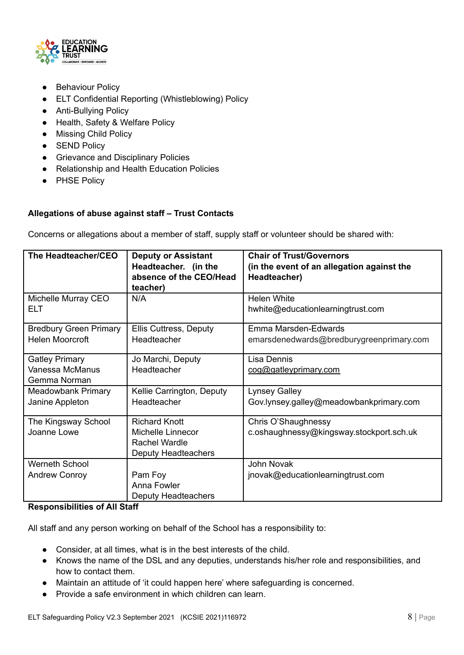

- Behaviour Policy
- ELT Confidential Reporting (Whistleblowing) Policy
- Anti-Bullying Policy
- Health, Safety & Welfare Policy
- Missing Child Policy
- SEND Policy
- Grievance and Disciplinary Policies
- Relationship and Health Education Policies
- PHSE Policy

#### <span id="page-8-0"></span>**Allegations of abuse against staff – Trust Contacts**

Concerns or allegations about a member of staff, supply staff or volunteer should be shared with:

| The Headteacher/CEO                                      | <b>Deputy or Assistant</b><br>Headteacher. (in the<br>absence of the CEO/Head<br>teacher)       | <b>Chair of Trust/Governors</b><br>(in the event of an allegation against the<br>Headteacher) |
|----------------------------------------------------------|-------------------------------------------------------------------------------------------------|-----------------------------------------------------------------------------------------------|
| Michelle Murray CEO<br><b>ELT</b>                        | N/A                                                                                             | <b>Helen White</b><br>hwhite@educationlearningtrust.com                                       |
| <b>Bredbury Green Primary</b><br><b>Helen Moorcroft</b>  | <b>Ellis Cuttress, Deputy</b><br>Headteacher                                                    | Emma Marsden-Edwards<br>emarsdenedwards@bredburygreenprimary.com                              |
| <b>Gatley Primary</b><br>Vanessa McManus<br>Gemma Norman | Jo Marchi, Deputy<br>Headteacher                                                                | Lisa Dennis<br>cog@gatleyprimary.com                                                          |
| <b>Meadowbank Primary</b><br>Janine Appleton             | Kellie Carrington, Deputy<br>Headteacher                                                        | <b>Lynsey Galley</b><br>Gov.lynsey.galley@meadowbankprimary.com                               |
| The Kingsway School<br>Joanne Lowe                       | <b>Richard Knott</b><br><b>Michelle Linnecor</b><br>Rachel Wardle<br><b>Deputy Headteachers</b> | Chris O'Shaughnessy<br>c.oshaughnessy@kingsway.stockport.sch.uk                               |
| Werneth School<br><b>Andrew Conroy</b>                   | Pam Foy<br>Anna Fowler<br>Deputy Headteachers                                                   | John Novak<br>jnovak@educationlearningtrust.com                                               |

#### <span id="page-8-1"></span>**Responsibilities of All Staff**

All staff and any person working on behalf of the School has a responsibility to:

- Consider, at all times, what is in the best interests of the child.
- Knows the name of the DSL and any deputies, understands his/her role and responsibilities, and how to contact them.
- Maintain an attitude of 'it could happen here' where safeguarding is concerned.
- Provide a safe environment in which children can learn.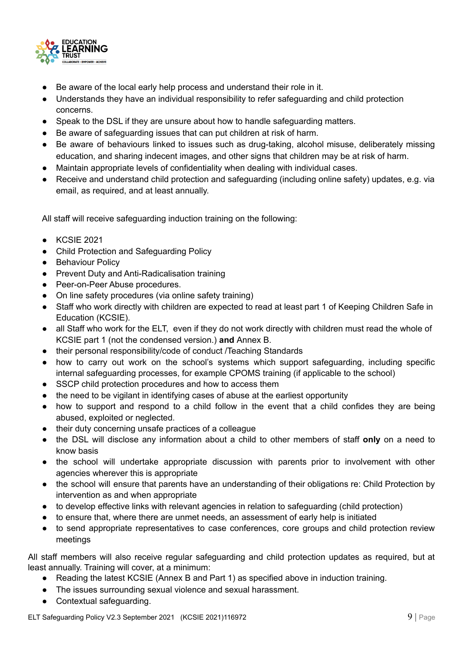

- Be aware of the local early help process and understand their role in it.
- Understands they have an individual responsibility to refer safeguarding and child protection concerns.
- Speak to the DSL if they are unsure about how to handle safeguarding matters.
- Be aware of safeguarding issues that can put children at risk of harm.
- Be aware of behaviours linked to issues such as drug-taking, alcohol misuse, deliberately missing education, and sharing indecent images, and other signs that children may be at risk of harm.
- Maintain appropriate levels of confidentiality when dealing with individual cases.
- Receive and understand child protection and safeguarding (including online safety) updates, e.g. via email, as required, and at least annually.

All staff will receive safeguarding induction training on the following:

- KCSIE 2021
- Child Protection and Safeguarding Policy
- Behaviour Policy
- Prevent Duty and Anti-Radicalisation training
- Peer-on-Peer Abuse procedures.
- On line safety procedures (via online safety training)
- Staff who work directly with children are expected to read at least part 1 of Keeping Children Safe in Education (KCSIE).
- all Staff who work for the ELT, even if they do not work directly with children must read the whole of KCSIE part 1 (not the condensed version.) **and** Annex B.
- their personal responsibility/code of conduct /Teaching Standards
- how to carry out work on the school's systems which support safeguarding, including specific internal safeguarding processes, for example CPOMS training (if applicable to the school)
- SSCP child protection procedures and how to access them
- the need to be vigilant in identifying cases of abuse at the earliest opportunity
- how to support and respond to a child follow in the event that a child confides they are being abused, exploited or neglected.
- their duty concerning unsafe practices of a colleague
- the DSL will disclose any information about a child to other members of staff **only** on a need to know basis
- the school will undertake appropriate discussion with parents prior to involvement with other agencies wherever this is appropriate
- the school will ensure that parents have an understanding of their obligations re: Child Protection by intervention as and when appropriate
- to develop effective links with relevant agencies in relation to safeguarding (child protection)
- to ensure that, where there are unmet needs, an assessment of early help is initiated
- to send appropriate representatives to case conferences, core groups and child protection review meetings

All staff members will also receive regular safeguarding and child protection updates as required, but at least annually. Training will cover, at a minimum:

- Reading the latest KCSIE (Annex B and Part 1) as specified above in induction training.
- The issues surrounding sexual violence and sexual harassment.
- Contextual safeguarding.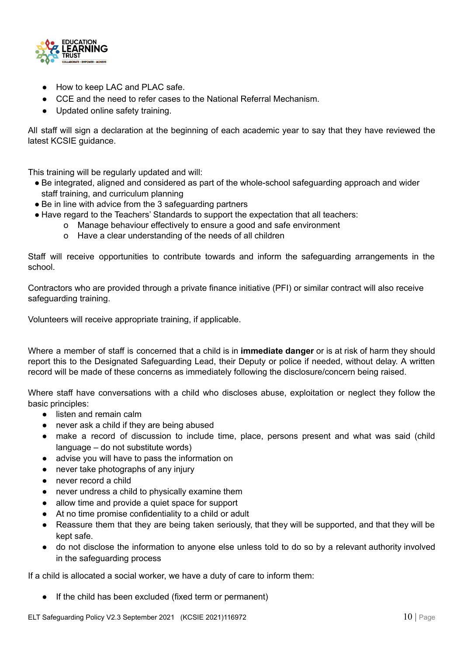

- How to keep LAC and PLAC safe.
- CCE and the need to refer cases to the National Referral Mechanism.
- Updated online safety training.

All staff will sign a declaration at the beginning of each academic year to say that they have reviewed the latest KCSIE guidance.

This training will be regularly updated and will:

- Be integrated, aligned and considered as part of the whole-school safeguarding approach and wider staff training, and curriculum planning
- Be in line with advice from the 3 safeguarding partners
- Have regard to the Teachers' Standards to support the expectation that all teachers:
	- o Manage behaviour effectively to ensure a good and safe environment
	- o Have a clear understanding of the needs of all children

Staff will receive opportunities to contribute towards and inform the safeguarding arrangements in the school.

Contractors who are provided through a private finance initiative (PFI) or similar contract will also receive safeguarding training.

Volunteers will receive appropriate training, if applicable.

Where a member of staff is concerned that a child is in **immediate danger** or is at risk of harm they should report this to the Designated Safeguarding Lead, their Deputy or police if needed, without delay. A written record will be made of these concerns as immediately following the disclosure/concern being raised.

Where staff have conversations with a child who discloses abuse, exploitation or neglect they follow the basic principles:

- listen and remain calm
- never ask a child if they are being abused
- make a record of discussion to include time, place, persons present and what was said (child language – do not substitute words)
- advise you will have to pass the information on
- never take photographs of any injury
- never record a child
- never undress a child to physically examine them
- allow time and provide a quiet space for support
- At no time promise confidentiality to a child or adult
- Reassure them that they are being taken seriously, that they will be supported, and that they will be kept safe.
- do not disclose the information to anyone else unless told to do so by a relevant authority involved in the safeguarding process

If a child is allocated a social worker, we have a duty of care to inform them:

● If the child has been excluded (fixed term or permanent)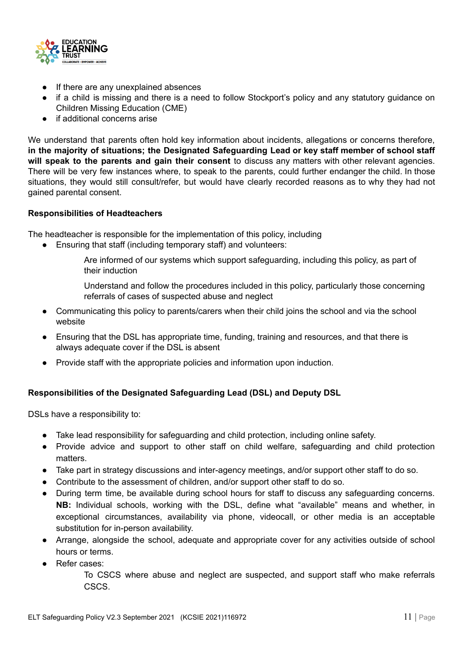

- If there are any unexplained absences
- if a child is missing and there is a need to follow Stockport's policy and any statutory guidance on Children Missing Education (CME)
- if additional concerns arise

We understand that parents often hold key information about incidents, allegations or concerns therefore, **in the majority of situations; the Designated Safeguarding Lead or key staff member of school staff will speak to the parents and gain their consent** to discuss any matters with other relevant agencies. There will be very few instances where, to speak to the parents, could further endanger the child. In those situations, they would still consult/refer, but would have clearly recorded reasons as to why they had not gained parental consent.

#### <span id="page-11-0"></span>**Responsibilities of Headteachers**

The headteacher is responsible for the implementation of this policy, including

● Ensuring that staff (including temporary staff) and volunteers:

Are informed of our systems which support safeguarding, including this policy, as part of their induction

Understand and follow the procedures included in this policy, particularly those concerning referrals of cases of suspected abuse and neglect

- Communicating this policy to parents/carers when their child joins the school and via the school website
- Ensuring that the DSL has appropriate time, funding, training and resources, and that there is always adequate cover if the DSL is absent
- Provide staff with the appropriate policies and information upon induction.

#### <span id="page-11-1"></span>**Responsibilities of the Designated Safeguarding Lead (DSL) and Deputy DSL**

DSLs have a responsibility to:

- Take lead responsibility for safeguarding and child protection, including online safety.
- Provide advice and support to other staff on child welfare, safeguarding and child protection matters.
- Take part in strategy discussions and inter-agency meetings, and/or support other staff to do so.
- Contribute to the assessment of children, and/or support other staff to do so.
- During term time, be available during school hours for staff to discuss any safeguarding concerns. **NB:** Individual schools, working with the DSL, define what "available" means and whether, in exceptional circumstances, availability via phone, videocall, or other media is an acceptable substitution for in-person availability.
- Arrange, alongside the school, adequate and appropriate cover for any activities outside of school hours or terms.
- Refer cases:

To CSCS where abuse and neglect are suspected, and support staff who make referrals CSCS.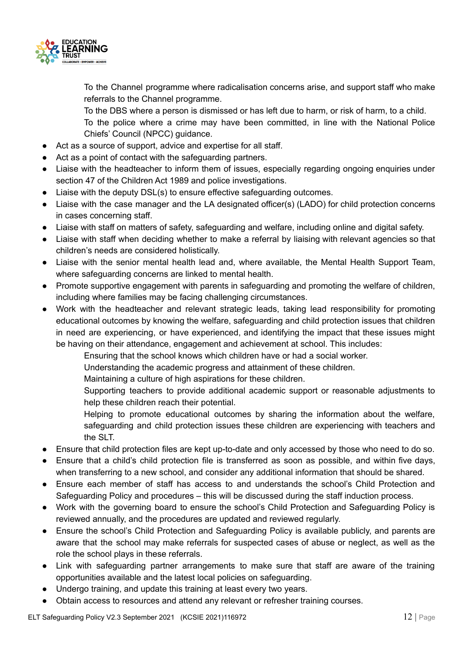

To the Channel programme where radicalisation concerns arise, and support staff who make referrals to the Channel programme.

To the DBS where a person is dismissed or has left due to harm, or risk of harm, to a child. To the police where a crime may have been committed, in line with the National Police Chiefs' Council (NPCC) guidance.

- Act as a source of support, advice and expertise for all staff.
- Act as a point of contact with the safeguarding partners.
- Liaise with the headteacher to inform them of issues, especially regarding ongoing enquiries under section 47 of the Children Act 1989 and police investigations.
- Liaise with the deputy DSL(s) to ensure effective safeguarding outcomes.
- Liaise with the case manager and the LA designated officer(s) (LADO) for child protection concerns in cases concerning staff.
- Liaise with staff on matters of safety, safeguarding and welfare, including online and digital safety.
- Liaise with staff when deciding whether to make a referral by liaising with relevant agencies so that children's needs are considered holistically.
- Liaise with the senior mental health lead and, where available, the Mental Health Support Team, where safeguarding concerns are linked to mental health.
- Promote supportive engagement with parents in safeguarding and promoting the welfare of children, including where families may be facing challenging circumstances.
- Work with the headteacher and relevant strategic leads, taking lead responsibility for promoting educational outcomes by knowing the welfare, safeguarding and child protection issues that children in need are experiencing, or have experienced, and identifying the impact that these issues might be having on their attendance, engagement and achievement at school. This includes:
	- Ensuring that the school knows which children have or had a social worker.
	- Understanding the academic progress and attainment of these children.
	- Maintaining a culture of high aspirations for these children.
	- Supporting teachers to provide additional academic support or reasonable adjustments to help these children reach their potential.
	- Helping to promote educational outcomes by sharing the information about the welfare, safeguarding and child protection issues these children are experiencing with teachers and the SLT.
- Ensure that child protection files are kept up-to-date and only accessed by those who need to do so.
- Ensure that a child's child protection file is transferred as soon as possible, and within five days, when transferring to a new school, and consider any additional information that should be shared.
- Ensure each member of staff has access to and understands the school's Child Protection and Safeguarding Policy and procedures – this will be discussed during the staff induction process.
- Work with the governing board to ensure the school's Child Protection and Safeguarding Policy is reviewed annually, and the procedures are updated and reviewed regularly.
- Ensure the school's Child Protection and Safeguarding Policy is available publicly, and parents are aware that the school may make referrals for suspected cases of abuse or neglect, as well as the role the school plays in these referrals.
- Link with safeguarding partner arrangements to make sure that staff are aware of the training opportunities available and the latest local policies on safeguarding.
- Undergo training, and update this training at least every two years.
- Obtain access to resources and attend any relevant or refresher training courses.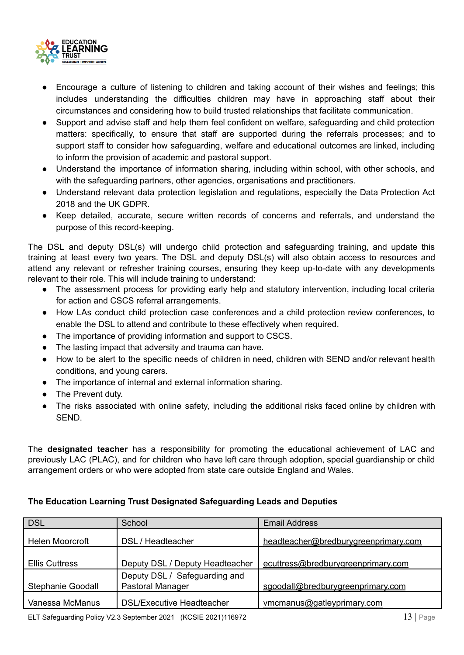

- Encourage a culture of listening to children and taking account of their wishes and feelings; this includes understanding the difficulties children may have in approaching staff about their circumstances and considering how to build trusted relationships that facilitate communication.
- Support and advise staff and help them feel confident on welfare, safeguarding and child protection matters: specifically, to ensure that staff are supported during the referrals processes; and to support staff to consider how safeguarding, welfare and educational outcomes are linked, including to inform the provision of academic and pastoral support.
- Understand the importance of information sharing, including within school, with other schools, and with the safeguarding partners, other agencies, organisations and practitioners.
- Understand relevant data protection legislation and regulations, especially the Data Protection Act 2018 and the UK GDPR.
- Keep detailed, accurate, secure written records of concerns and referrals, and understand the purpose of this record-keeping.

The DSL and deputy DSL(s) will undergo child protection and safeguarding training, and update this training at least every two years. The DSL and deputy DSL(s) will also obtain access to resources and attend any relevant or refresher training courses, ensuring they keep up-to-date with any developments relevant to their role. This will include training to understand:

- The assessment process for providing early help and statutory intervention, including local criteria for action and CSCS referral arrangements.
- How LAs conduct child protection case conferences and a child protection review conferences, to enable the DSL to attend and contribute to these effectively when required.
- The importance of providing information and support to CSCS.
- The lasting impact that adversity and trauma can have.
- How to be alert to the specific needs of children in need, children with SEND and/or relevant health conditions, and young carers.
- The importance of internal and external information sharing.
- The Prevent duty.
- The risks associated with online safety, including the additional risks faced online by children with SEND.

The **designated teacher** has a responsibility for promoting the educational achievement of LAC and previously LAC (PLAC), and for children who have left care through adoption, special guardianship or child arrangement orders or who were adopted from state care outside England and Wales.

## **The Education Learning Trust Designated Safeguarding Leads and Deputies**

| School                          | <b>Email Address</b>                                 |
|---------------------------------|------------------------------------------------------|
| DSL / Headteacher               | headteacher@bredburygreenprimary.com                 |
| Deputy DSL / Deputy Headteacher | ecuttress@bredburygreenprimary.com                   |
| Deputy DSL / Safeguarding and   | sgoodall@bredburygreenprimary.com                    |
|                                 | vmcmanus@gatleyprimary.com                           |
|                                 | Pastoral Manager<br><b>DSL/Executive Headteacher</b> |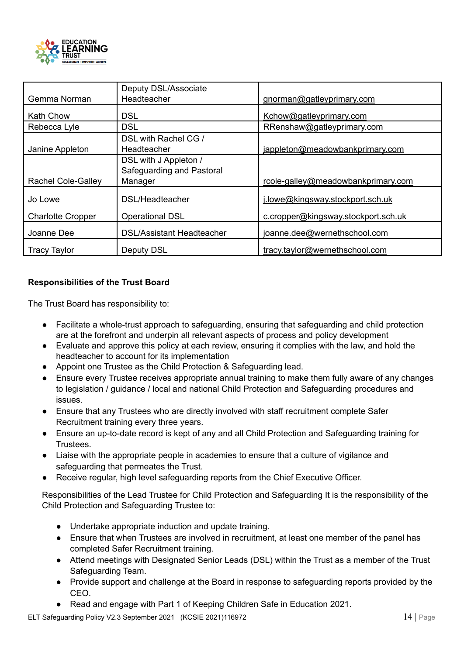

|                           | Deputy DSL/Associate                                          |                                     |
|---------------------------|---------------------------------------------------------------|-------------------------------------|
| Gemma Norman              | Headteacher                                                   | gnorman@gatleyprimary.com           |
| <b>Kath Chow</b>          | <b>DSL</b>                                                    | Kchow@gatleyprimary.com             |
| Rebecca Lyle              | <b>DSL</b>                                                    | RRenshaw@gatleyprimary.com          |
| Janine Appleton           | DSL with Rachel CG /<br>Headteacher                           | jappleton@meadowbankprimary.com     |
| <b>Rachel Cole-Galley</b> | DSL with J Appleton /<br>Safeguarding and Pastoral<br>Manager | rcole-galley@meadowbankprimary.com  |
| Jo Lowe                   | DSL/Headteacher                                               | j.lowe@kingsway.stockport.sch.uk    |
| <b>Charlotte Cropper</b>  | <b>Operational DSL</b>                                        | c.cropper@kingsway.stockport.sch.uk |
| Joanne Dee                | <b>DSL/Assistant Headteacher</b>                              | joanne.dee@wernethschool.com        |
| <b>Tracy Taylor</b>       | <b>Deputy DSL</b>                                             | tracy.taylor@wernethschool.com      |

#### <span id="page-14-0"></span>**Responsibilities of the Trust Board**

The Trust Board has responsibility to:

- Facilitate a whole-trust approach to safeguarding, ensuring that safeguarding and child protection are at the forefront and underpin all relevant aspects of process and policy development
- Evaluate and approve this policy at each review, ensuring it complies with the law, and hold the headteacher to account for its implementation
- Appoint one Trustee as the Child Protection & Safeguarding lead.
- Ensure every Trustee receives appropriate annual training to make them fully aware of any changes to legislation / guidance / local and national Child Protection and Safeguarding procedures and issues.
- Ensure that any Trustees who are directly involved with staff recruitment complete Safer Recruitment training every three years.
- Ensure an up-to-date record is kept of any and all Child Protection and Safeguarding training for Trustees.
- Liaise with the appropriate people in academies to ensure that a culture of vigilance and safeguarding that permeates the Trust.
- Receive regular, high level safeguarding reports from the Chief Executive Officer.

Responsibilities of the Lead Trustee for Child Protection and Safeguarding It is the responsibility of the Child Protection and Safeguarding Trustee to:

- Undertake appropriate induction and update training.
- Ensure that when Trustees are involved in recruitment, at least one member of the panel has completed Safer Recruitment training.
- Attend meetings with Designated Senior Leads (DSL) within the Trust as a member of the Trust Safeguarding Team.
- Provide support and challenge at the Board in response to safeguarding reports provided by the CEO.
- Read and engage with Part 1 of Keeping Children Safe in Education 2021.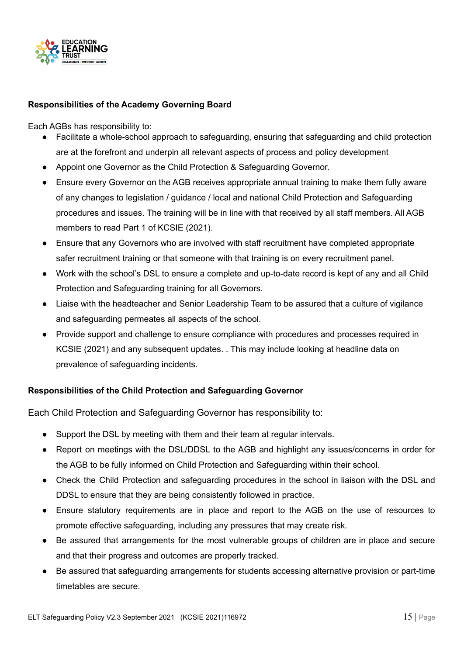

#### <span id="page-15-0"></span>**Responsibilities of the Academy Governing Board**

Each AGBs has responsibility to:

- Facilitate a whole-school approach to safeguarding, ensuring that safeguarding and child protection are at the forefront and underpin all relevant aspects of process and policy development
- Appoint one Governor as the Child Protection & Safeguarding Governor.
- Ensure every Governor on the AGB receives appropriate annual training to make them fully aware of any changes to legislation / guidance / local and national Child Protection and Safeguarding procedures and issues. The training will be in line with that received by all staff members. All AGB members to read Part 1 of KCSIE (2021).
- Ensure that any Governors who are involved with staff recruitment have completed appropriate safer recruitment training or that someone with that training is on every recruitment panel.
- Work with the school's DSL to ensure a complete and up-to-date record is kept of any and all Child Protection and Safeguarding training for all Governors.
- Liaise with the headteacher and Senior Leadership Team to be assured that a culture of vigilance and safeguarding permeates all aspects of the school.
- Provide support and challenge to ensure compliance with procedures and processes required in KCSIE (2021) and any subsequent updates. . This may include looking at headline data on prevalence of safeguarding incidents.

#### <span id="page-15-1"></span>**Responsibilities of the Child Protection and Safeguarding Governor**

Each Child Protection and Safeguarding Governor has responsibility to:

- Support the DSL by meeting with them and their team at regular intervals.
- Report on meetings with the DSL/DDSL to the AGB and highlight any issues/concerns in order for the AGB to be fully informed on Child Protection and Safeguarding within their school.
- Check the Child Protection and safeguarding procedures in the school in liaison with the DSL and DDSL to ensure that they are being consistently followed in practice.
- Ensure statutory requirements are in place and report to the AGB on the use of resources to promote effective safeguarding, including any pressures that may create risk.
- Be assured that arrangements for the most vulnerable groups of children are in place and secure and that their progress and outcomes are properly tracked.
- Be assured that safeguarding arrangements for students accessing alternative provision or part-time timetables are secure.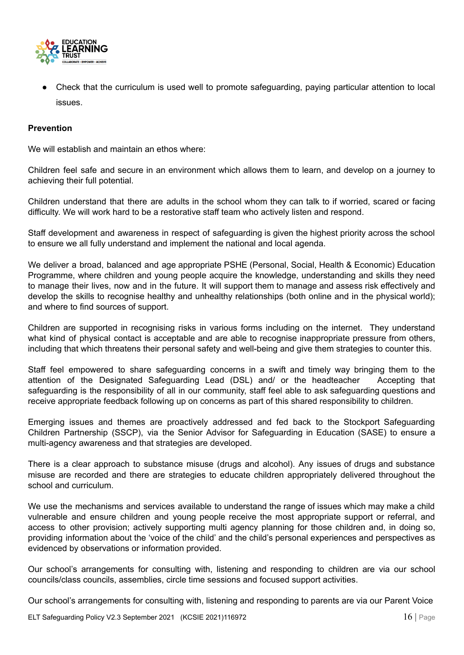

Check that the curriculum is used well to promote safeguarding, paying particular attention to local issues.

#### <span id="page-16-0"></span>**Prevention**

We will establish and maintain an ethos where:

Children feel safe and secure in an environment which allows them to learn, and develop on a journey to achieving their full potential.

Children understand that there are adults in the school whom they can talk to if worried, scared or facing difficulty. We will work hard to be a restorative staff team who actively listen and respond.

Staff development and awareness in respect of safeguarding is given the highest priority across the school to ensure we all fully understand and implement the national and local agenda.

We deliver a broad, balanced and age appropriate PSHE (Personal, Social, Health & Economic) Education Programme, where children and young people acquire the knowledge, understanding and skills they need to manage their lives, now and in the future. It will support them to manage and assess risk effectively and develop the skills to recognise healthy and unhealthy relationships (both online and in the physical world); and where to find sources of support.

Children are supported in recognising risks in various forms including on the internet. They understand what kind of physical contact is acceptable and are able to recognise inappropriate pressure from others, including that which threatens their personal safety and well-being and give them strategies to counter this.

Staff feel empowered to share safeguarding concerns in a swift and timely way bringing them to the attention of the Designated Safeguarding Lead (DSL) and/ or the headteacher Accepting that safeguarding is the responsibility of all in our community, staff feel able to ask safeguarding questions and receive appropriate feedback following up on concerns as part of this shared responsibility to children.

Emerging issues and themes are proactively addressed and fed back to the Stockport Safeguarding Children Partnership (SSCP), via the Senior Advisor for Safeguarding in Education (SASE) to ensure a multi-agency awareness and that strategies are developed.

There is a clear approach to substance misuse (drugs and alcohol). Any issues of drugs and substance misuse are recorded and there are strategies to educate children appropriately delivered throughout the school and curriculum.

We use the mechanisms and services available to understand the range of issues which may make a child vulnerable and ensure children and young people receive the most appropriate support or referral, and access to other provision; actively supporting multi agency planning for those children and, in doing so, providing information about the 'voice of the child' and the child's personal experiences and perspectives as evidenced by observations or information provided.

Our school's arrangements for consulting with, listening and responding to children are via our school councils/class councils, assemblies, circle time sessions and focused support activities.

Our school's arrangements for consulting with, listening and responding to parents are via our Parent Voice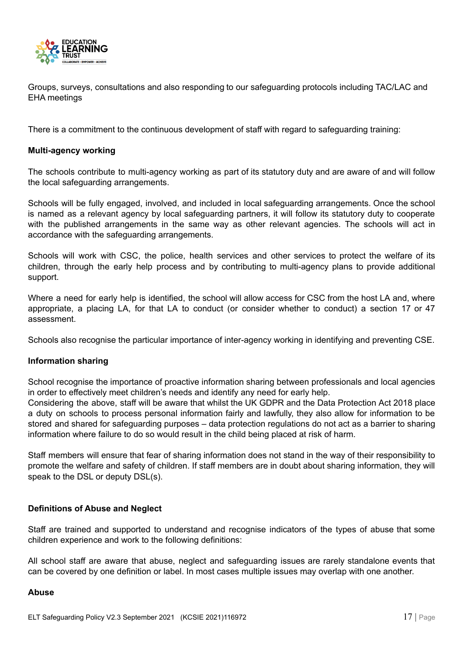

Groups, surveys, consultations and also responding to our safeguarding protocols including TAC/LAC and EHA meetings

There is a commitment to the continuous development of staff with regard to safeguarding training:

#### <span id="page-17-0"></span>**Multi-agency working**

The schools contribute to multi-agency working as part of its statutory duty and are aware of and will follow the local safeguarding arrangements.

Schools will be fully engaged, involved, and included in local safeguarding arrangements. Once the school is named as a relevant agency by local safeguarding partners, it will follow its statutory duty to cooperate with the published arrangements in the same way as other relevant agencies. The schools will act in accordance with the safeguarding arrangements.

Schools will work with CSC, the police, health services and other services to protect the welfare of its children, through the early help process and by contributing to multi-agency plans to provide additional support.

Where a need for early help is identified, the school will allow access for CSC from the host LA and, where appropriate, a placing LA, for that LA to conduct (or consider whether to conduct) a section 17 or 47 assessment.

Schools also recognise the particular importance of inter-agency working in identifying and preventing CSE.

#### <span id="page-17-1"></span>**Information sharing**

School recognise the importance of proactive information sharing between professionals and local agencies in order to effectively meet children's needs and identify any need for early help.

Considering the above, staff will be aware that whilst the UK GDPR and the Data Protection Act 2018 place a duty on schools to process personal information fairly and lawfully, they also allow for information to be stored and shared for safeguarding purposes – data protection regulations do not act as a barrier to sharing information where failure to do so would result in the child being placed at risk of harm.

Staff members will ensure that fear of sharing information does not stand in the way of their responsibility to promote the welfare and safety of children. If staff members are in doubt about sharing information, they will speak to the DSL or deputy DSL(s).

#### <span id="page-17-2"></span>**Definitions of Abuse and Neglect**

Staff are trained and supported to understand and recognise indicators of the types of abuse that some children experience and work to the following definitions:

All school staff are aware that abuse, neglect and safeguarding issues are rarely standalone events that can be covered by one definition or label. In most cases multiple issues may overlap with one another.

#### <span id="page-17-3"></span>**Abuse**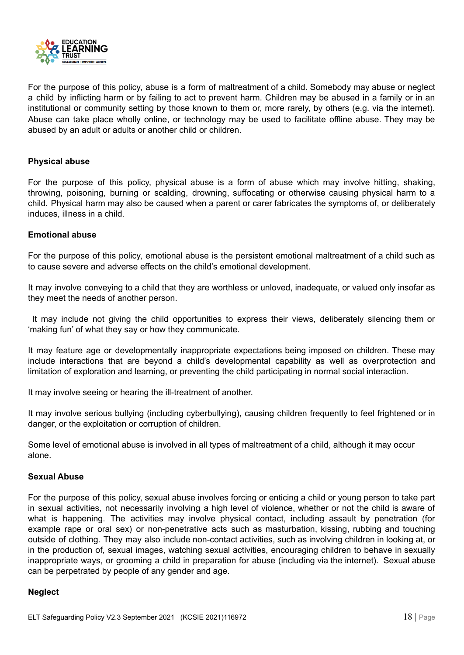

For the purpose of this policy, abuse is a form of maltreatment of a child. Somebody may abuse or neglect a child by inflicting harm or by failing to act to prevent harm. Children may be abused in a family or in an institutional or community setting by those known to them or, more rarely, by others (e.g. via the internet). Abuse can take place wholly online, or technology may be used to facilitate offline abuse. They may be abused by an adult or adults or another child or children.

#### <span id="page-18-0"></span>**Physical abuse**

For the purpose of this policy, physical abuse is a form of abuse which may involve hitting, shaking, throwing, poisoning, burning or scalding, drowning, suffocating or otherwise causing physical harm to a child. Physical harm may also be caused when a parent or carer fabricates the symptoms of, or deliberately induces, illness in a child.

#### <span id="page-18-1"></span>**Emotional abuse**

For the purpose of this policy, emotional abuse is the persistent emotional maltreatment of a child such as to cause severe and adverse effects on the child's emotional development.

It may involve conveying to a child that they are worthless or unloved, inadequate, or valued only insofar as they meet the needs of another person.

It may include not giving the child opportunities to express their views, deliberately silencing them or 'making fun' of what they say or how they communicate.

It may feature age or developmentally inappropriate expectations being imposed on children. These may include interactions that are beyond a child's developmental capability as well as overprotection and limitation of exploration and learning, or preventing the child participating in normal social interaction.

It may involve seeing or hearing the ill-treatment of another.

It may involve serious bullying (including cyberbullying), causing children frequently to feel frightened or in danger, or the exploitation or corruption of children.

Some level of emotional abuse is involved in all types of maltreatment of a child, although it may occur alone.

#### <span id="page-18-2"></span>**Sexual Abuse**

For the purpose of this policy, sexual abuse involves forcing or enticing a child or young person to take part in sexual activities, not necessarily involving a high level of violence, whether or not the child is aware of what is happening. The activities may involve physical contact, including assault by penetration (for example rape or oral sex) or non-penetrative acts such as masturbation, kissing, rubbing and touching outside of clothing. They may also include non-contact activities, such as involving children in looking at, or in the production of, sexual images, watching sexual activities, encouraging children to behave in sexually inappropriate ways, or grooming a child in preparation for abuse (including via the internet). Sexual abuse can be perpetrated by people of any gender and age.

#### <span id="page-18-3"></span>**Neglect**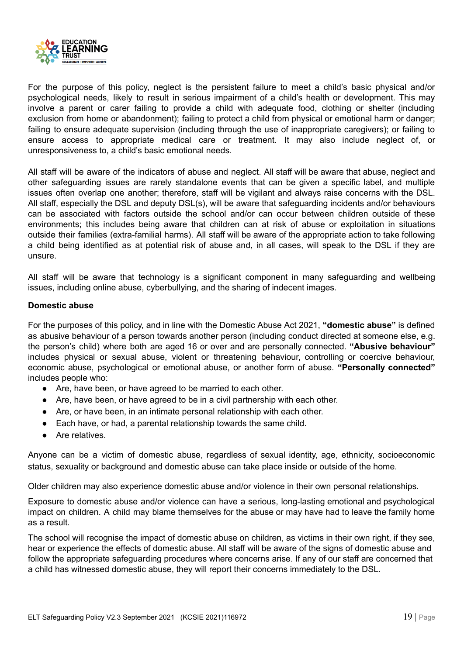

For the purpose of this policy, neglect is the persistent failure to meet a child's basic physical and/or psychological needs, likely to result in serious impairment of a child's health or development. This may involve a parent or carer failing to provide a child with adequate food, clothing or shelter (including exclusion from home or abandonment); failing to protect a child from physical or emotional harm or danger; failing to ensure adequate supervision (including through the use of inappropriate caregivers); or failing to ensure access to appropriate medical care or treatment. It may also include neglect of, or unresponsiveness to, a child's basic emotional needs.

All staff will be aware of the indicators of abuse and neglect. All staff will be aware that abuse, neglect and other safeguarding issues are rarely standalone events that can be given a specific label, and multiple issues often overlap one another; therefore, staff will be vigilant and always raise concerns with the DSL. All staff, especially the DSL and deputy DSL(s), will be aware that safeguarding incidents and/or behaviours can be associated with factors outside the school and/or can occur between children outside of these environments; this includes being aware that children can at risk of abuse or exploitation in situations outside their families (extra-familial harms). All staff will be aware of the appropriate action to take following a child being identified as at potential risk of abuse and, in all cases, will speak to the DSL if they are unsure.

All staff will be aware that technology is a significant component in many safeguarding and wellbeing issues, including online abuse, cyberbullying, and the sharing of indecent images.

#### <span id="page-19-0"></span>**Domestic abuse**

For the purposes of this policy, and in line with the Domestic Abuse Act 2021, **"domestic abuse"** is defined as abusive behaviour of a person towards another person (including conduct directed at someone else, e.g. the person's child) where both are aged 16 or over and are personally connected. **"Abusive behaviour"** includes physical or sexual abuse, violent or threatening behaviour, controlling or coercive behaviour, economic abuse, psychological or emotional abuse, or another form of abuse. **"Personally connected"** includes people who:

- Are, have been, or have agreed to be married to each other.
- Are, have been, or have agreed to be in a civil partnership with each other.
- Are, or have been, in an intimate personal relationship with each other.
- Each have, or had, a parental relationship towards the same child.
- Are relatives.

Anyone can be a victim of domestic abuse, regardless of sexual identity, age, ethnicity, socioeconomic status, sexuality or background and domestic abuse can take place inside or outside of the home.

Older children may also experience domestic abuse and/or violence in their own personal relationships.

Exposure to domestic abuse and/or violence can have a serious, long-lasting emotional and psychological impact on children. A child may blame themselves for the abuse or may have had to leave the family home as a result.

The school will recognise the impact of domestic abuse on children, as victims in their own right, if they see, hear or experience the effects of domestic abuse. All staff will be aware of the signs of domestic abuse and follow the appropriate safeguarding procedures where concerns arise. If any of our staff are concerned that a child has witnessed domestic abuse, they will report their concerns immediately to the DSL.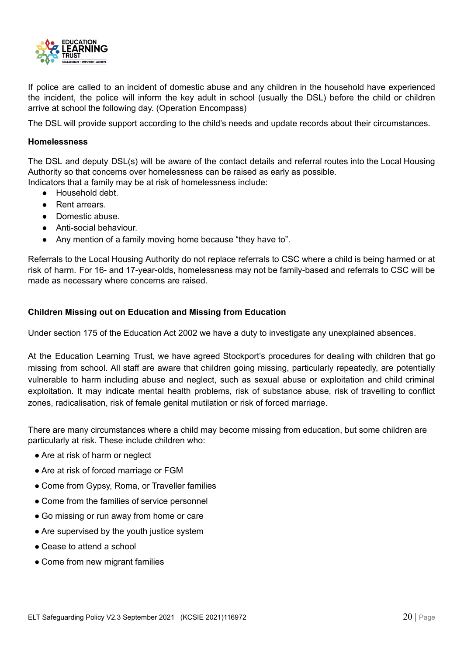

If police are called to an incident of domestic abuse and any children in the household have experienced the incident, the police will inform the key adult in school (usually the DSL) before the child or children arrive at school the following day. (Operation Encompass)

The DSL will provide support according to the child's needs and update records about their circumstances.

#### <span id="page-20-0"></span>**Homelessness**

The DSL and deputy DSL(s) will be aware of the contact details and referral routes into the Local Housing Authority so that concerns over homelessness can be raised as early as possible.

Indicators that a family may be at risk of homelessness include:

- Household debt.
- Rent arrears.
- Domestic abuse.
- Anti-social behaviour.
- Any mention of a family moving home because "they have to".

Referrals to the Local Housing Authority do not replace referrals to CSC where a child is being harmed or at risk of harm. For 16- and 17-year-olds, homelessness may not be family-based and referrals to CSC will be made as necessary where concerns are raised.

#### <span id="page-20-1"></span>**Children Missing out on Education and Missing from Education**

Under section 175 of the Education Act 2002 we have a duty to investigate any unexplained absences.

At the Education Learning Trust, we have agreed Stockport's procedures for dealing with children that go missing from school. All staff are aware that children going missing, particularly repeatedly, are potentially vulnerable to harm including abuse and neglect, such as sexual abuse or exploitation and child criminal exploitation. It may indicate mental health problems, risk of substance abuse, risk of travelling to conflict zones, radicalisation, risk of female genital mutilation or risk of forced marriage.

There are many circumstances where a child may become missing from education, but some children are particularly at risk. These include children who:

- Are at risk of harm or neglect
- Are at risk of forced marriage or FGM
- Come from Gypsy, Roma, or Traveller families
- Come from the families of service personnel
- Go missing or run away from home or care
- Are supervised by the youth justice system
- Cease to attend a school
- Come from new migrant families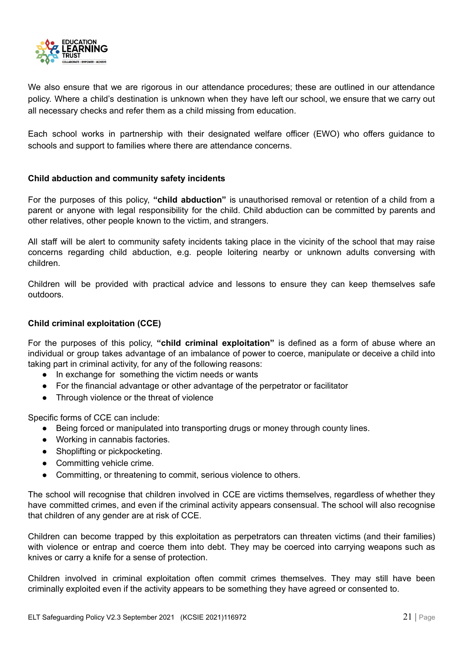

We also ensure that we are rigorous in our attendance procedures; these are outlined in our attendance policy. Where a child's destination is unknown when they have left our school, we ensure that we carry out all necessary checks and refer them as a child missing from education.

Each school works in partnership with their designated welfare officer (EWO) who offers guidance to schools and support to families where there are attendance concerns.

#### <span id="page-21-0"></span>**Child abduction and community safety incidents**

For the purposes of this policy, **"child abduction"** is unauthorised removal or retention of a child from a parent or anyone with legal responsibility for the child. Child abduction can be committed by parents and other relatives, other people known to the victim, and strangers.

All staff will be alert to community safety incidents taking place in the vicinity of the school that may raise concerns regarding child abduction, e.g. people loitering nearby or unknown adults conversing with children.

Children will be provided with practical advice and lessons to ensure they can keep themselves safe outdoors.

#### <span id="page-21-1"></span>**Child criminal exploitation (CCE)**

For the purposes of this policy, **"child criminal exploitation"** is defined as a form of abuse where an individual or group takes advantage of an imbalance of power to coerce, manipulate or deceive a child into taking part in criminal activity, for any of the following reasons:

- In exchange for something the victim needs or wants
- For the financial advantage or other advantage of the perpetrator or facilitator
- Through violence or the threat of violence

Specific forms of CCE can include:

- Being forced or manipulated into transporting drugs or money through county lines.
- Working in cannabis factories.
- Shoplifting or pickpocketing.
- Committing vehicle crime.
- Committing, or threatening to commit, serious violence to others.

The school will recognise that children involved in CCE are victims themselves, regardless of whether they have committed crimes, and even if the criminal activity appears consensual. The school will also recognise that children of any gender are at risk of CCE.

Children can become trapped by this exploitation as perpetrators can threaten victims (and their families) with violence or entrap and coerce them into debt. They may be coerced into carrying weapons such as knives or carry a knife for a sense of protection.

Children involved in criminal exploitation often commit crimes themselves. They may still have been criminally exploited even if the activity appears to be something they have agreed or consented to.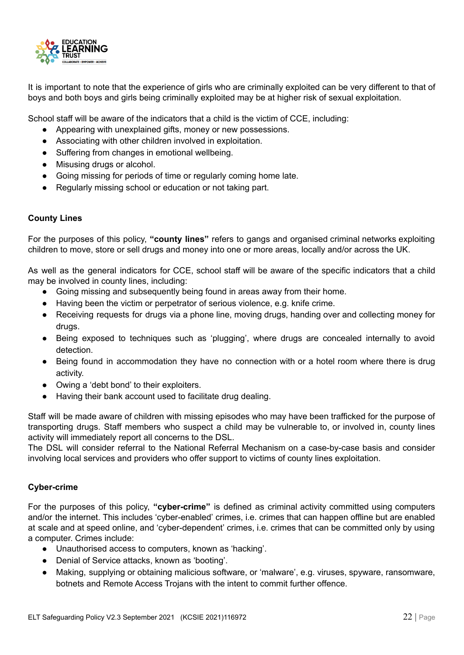

It is important to note that the experience of girls who are criminally exploited can be very different to that of boys and both boys and girls being criminally exploited may be at higher risk of sexual exploitation.

School staff will be aware of the indicators that a child is the victim of CCE, including:

- Appearing with unexplained gifts, money or new possessions.
- Associating with other children involved in exploitation.
- Suffering from changes in emotional wellbeing.
- Misusing drugs or alcohol.
- Going missing for periods of time or regularly coming home late.
- Regularly missing school or education or not taking part.

#### <span id="page-22-0"></span>**County Lines**

For the purposes of this policy, **"county lines"** refers to gangs and organised criminal networks exploiting children to move, store or sell drugs and money into one or more areas, locally and/or across the UK.

As well as the general indicators for CCE, school staff will be aware of the specific indicators that a child may be involved in county lines, including:

- Going missing and subsequently being found in areas away from their home.
- Having been the victim or perpetrator of serious violence, e.g. knife crime.
- Receiving requests for drugs via a phone line, moving drugs, handing over and collecting money for drugs.
- Being exposed to techniques such as 'plugging', where drugs are concealed internally to avoid detection.
- Being found in accommodation they have no connection with or a hotel room where there is drug activity.
- Owing a 'debt bond' to their exploiters.
- Having their bank account used to facilitate drug dealing.

Staff will be made aware of children with missing episodes who may have been trafficked for the purpose of transporting drugs. Staff members who suspect a child may be vulnerable to, or involved in, county lines activity will immediately report all concerns to the DSL.

The DSL will consider referral to the National Referral Mechanism on a case-by-case basis and consider involving local services and providers who offer support to victims of county lines exploitation.

#### <span id="page-22-1"></span>**Cyber-crime**

For the purposes of this policy, **"cyber-crime"** is defined as criminal activity committed using computers and/or the internet. This includes 'cyber-enabled' crimes, i.e. crimes that can happen offline but are enabled at scale and at speed online, and 'cyber-dependent' crimes, i.e. crimes that can be committed only by using a computer. Crimes include:

- Unauthorised access to computers, known as 'hacking'.
- Denial of Service attacks, known as 'booting'.
- Making, supplying or obtaining malicious software, or 'malware', e.g. viruses, spyware, ransomware, botnets and Remote Access Trojans with the intent to commit further offence.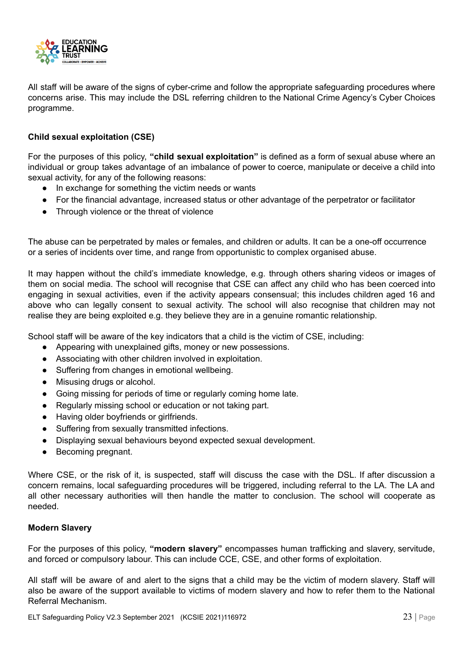

All staff will be aware of the signs of cyber-crime and follow the appropriate safeguarding procedures where concerns arise. This may include the DSL referring children to the National Crime Agency's Cyber Choices programme.

#### <span id="page-23-0"></span>**Child sexual exploitation (CSE)**

For the purposes of this policy, **"child sexual exploitation"** is defined as a form of sexual abuse where an individual or group takes advantage of an imbalance of power to coerce, manipulate or deceive a child into sexual activity, for any of the following reasons:

- In exchange for something the victim needs or wants
- For the financial advantage, increased status or other advantage of the perpetrator or facilitator
- Through violence or the threat of violence

The abuse can be perpetrated by males or females, and children or adults. It can be a one-off occurrence or a series of incidents over time, and range from opportunistic to complex organised abuse.

It may happen without the child's immediate knowledge, e.g. through others sharing videos or images of them on social media. The school will recognise that CSE can affect any child who has been coerced into engaging in sexual activities, even if the activity appears consensual; this includes children aged 16 and above who can legally consent to sexual activity. The school will also recognise that children may not realise they are being exploited e.g. they believe they are in a genuine romantic relationship.

School staff will be aware of the key indicators that a child is the victim of CSE, including:

- Appearing with unexplained gifts, money or new possessions.
- Associating with other children involved in exploitation.
- Suffering from changes in emotional wellbeing.
- Misusing drugs or alcohol.
- Going missing for periods of time or regularly coming home late.
- Regularly missing school or education or not taking part.
- Having older boyfriends or girlfriends.
- Suffering from sexually transmitted infections.
- Displaying sexual behaviours beyond expected sexual development.
- Becoming pregnant.

Where CSE, or the risk of it, is suspected, staff will discuss the case with the DSL. If after discussion a concern remains, local safeguarding procedures will be triggered, including referral to the LA. The LA and all other necessary authorities will then handle the matter to conclusion. The school will cooperate as needed.

#### <span id="page-23-1"></span>**Modern Slavery**

For the purposes of this policy, **"modern slavery"** encompasses human trafficking and slavery, servitude, and forced or compulsory labour. This can include CCE, CSE, and other forms of exploitation.

All staff will be aware of and alert to the signs that a child may be the victim of modern slavery. Staff will also be aware of the support available to victims of modern slavery and how to refer them to the National Referral Mechanism.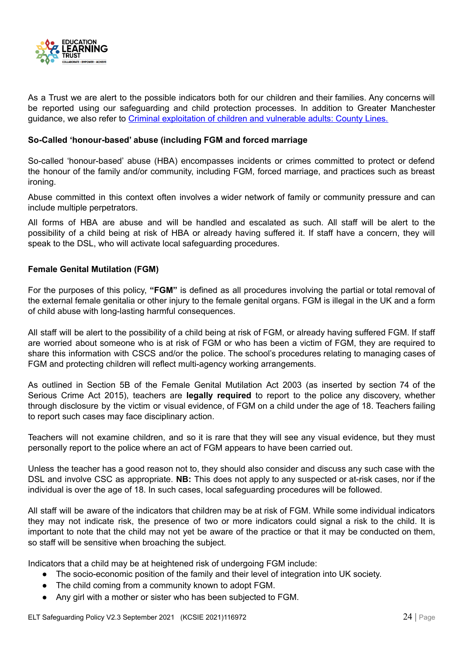

As a Trust we are alert to the possible indicators both for our children and their families. Any concerns will be reported using our safeguarding and child protection processes. In addition to Greater Manchester guidance, we also refer to Criminal [exploitation](https://www.gov.uk/government/uploads/system/uploads/attachment_data/file/626770/6_3505_HO_Child_exploitation_FINAL_web__2_.pdf) of children and vulnerable adults: County Lines.

#### <span id="page-24-0"></span>**So-Called 'honour-based' abuse (including FGM and forced marriage**

So-called 'honour-based' abuse (HBA) encompasses incidents or crimes committed to protect or defend the honour of the family and/or community, including FGM, forced marriage, and practices such as breast ironing.

Abuse committed in this context often involves a wider network of family or community pressure and can include multiple perpetrators.

All forms of HBA are abuse and will be handled and escalated as such. All staff will be alert to the possibility of a child being at risk of HBA or already having suffered it. If staff have a concern, they will speak to the DSL, who will activate local safeguarding procedures.

#### <span id="page-24-1"></span>**Female Genital Mutilation (FGM)**

For the purposes of this policy, **"FGM"** is defined as all procedures involving the partial or total removal of the external female genitalia or other injury to the female genital organs. FGM is illegal in the UK and a form of child abuse with long-lasting harmful consequences.

All staff will be alert to the possibility of a child being at risk of FGM, or already having suffered FGM. If staff are worried about someone who is at risk of FGM or who has been a victim of FGM, they are required to share this information with CSCS and/or the police. The school's procedures relating to managing cases of FGM and protecting children will reflect multi-agency working arrangements.

As outlined in Section 5B of the Female Genital Mutilation Act 2003 (as inserted by section 74 of the Serious Crime Act 2015), teachers are **legally required** to report to the police any discovery, whether through disclosure by the victim or visual evidence, of FGM on a child under the age of 18. Teachers failing to report such cases may face disciplinary action.

Teachers will not examine children, and so it is rare that they will see any visual evidence, but they must personally report to the police where an act of FGM appears to have been carried out.

Unless the teacher has a good reason not to, they should also consider and discuss any such case with the DSL and involve CSC as appropriate. **NB:** This does not apply to any suspected or at-risk cases, nor if the individual is over the age of 18. In such cases, local safeguarding procedures will be followed.

All staff will be aware of the indicators that children may be at risk of FGM. While some individual indicators they may not indicate risk, the presence of two or more indicators could signal a risk to the child. It is important to note that the child may not yet be aware of the practice or that it may be conducted on them, so staff will be sensitive when broaching the subject.

Indicators that a child may be at heightened risk of undergoing FGM include:

- The socio-economic position of the family and their level of integration into UK society.
- The child coming from a community known to adopt FGM.
- Any girl with a mother or sister who has been subjected to FGM.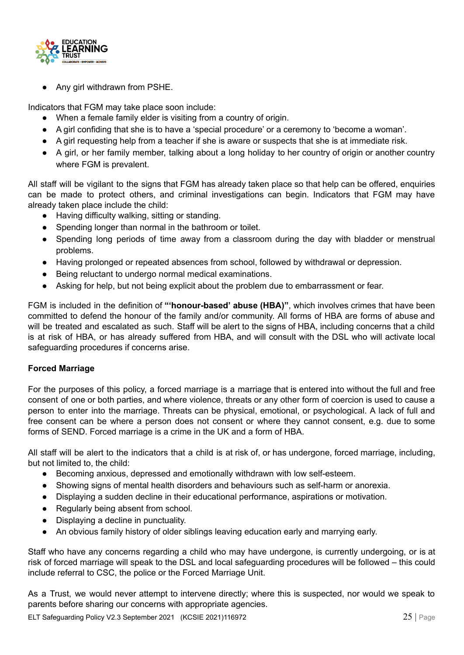

Any girl withdrawn from PSHE.

Indicators that FGM may take place soon include:

- When a female family elder is visiting from a country of origin.
- A girl confiding that she is to have a 'special procedure' or a ceremony to 'become a woman'.
- A girl requesting help from a teacher if she is aware or suspects that she is at immediate risk.
- A girl, or her family member, talking about a long holiday to her country of origin or another country where FGM is prevalent.

All staff will be vigilant to the signs that FGM has already taken place so that help can be offered, enquiries can be made to protect others, and criminal investigations can begin. Indicators that FGM may have already taken place include the child:

- Having difficulty walking, sitting or standing.
- Spending longer than normal in the bathroom or toilet.
- Spending long periods of time away from a classroom during the day with bladder or menstrual problems.
- Having prolonged or repeated absences from school, followed by withdrawal or depression.
- Being reluctant to undergo normal medical examinations.
- Asking for help, but not being explicit about the problem due to embarrassment or fear.

FGM is included in the definition of **"'honour-based' abuse (HBA)"**, which involves crimes that have been committed to defend the honour of the family and/or community. All forms of HBA are forms of abuse and will be treated and escalated as such. Staff will be alert to the signs of HBA, including concerns that a child is at risk of HBA, or has already suffered from HBA, and will consult with the DSL who will activate local safeguarding procedures if concerns arise.

#### <span id="page-25-0"></span>**Forced Marriage**

For the purposes of this policy, a forced marriage is a marriage that is entered into without the full and free consent of one or both parties, and where violence, threats or any other form of coercion is used to cause a person to enter into the marriage. Threats can be physical, emotional, or psychological. A lack of full and free consent can be where a person does not consent or where they cannot consent, e.g. due to some forms of SEND. Forced marriage is a crime in the UK and a form of HBA.

All staff will be alert to the indicators that a child is at risk of, or has undergone, forced marriage, including, but not limited to, the child:

- Becoming anxious, depressed and emotionally withdrawn with low self-esteem.
- Showing signs of mental health disorders and behaviours such as self-harm or anorexia.
- Displaying a sudden decline in their educational performance, aspirations or motivation.
- Regularly being absent from school.
- Displaying a decline in punctuality.
- An obvious family history of older siblings leaving education early and marrying early.

Staff who have any concerns regarding a child who may have undergone, is currently undergoing, or is at risk of forced marriage will speak to the DSL and local safeguarding procedures will be followed – this could include referral to CSC, the police or the Forced Marriage Unit.

As a Trust, we would never attempt to intervene directly; where this is suspected, nor would we speak to parents before sharing our concerns with appropriate agencies.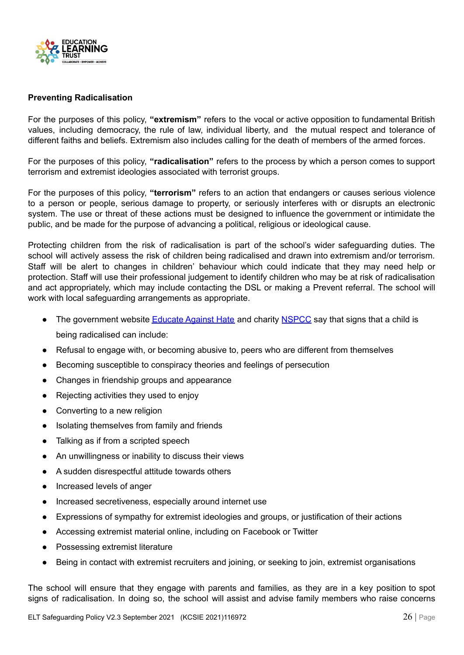

#### <span id="page-26-0"></span>**Preventing Radicalisation**

For the purposes of this policy, **"extremism"** refers to the vocal or active opposition to fundamental British values, including democracy, the rule of law, individual liberty, and the mutual respect and tolerance of different faiths and beliefs. Extremism also includes calling for the death of members of the armed forces.

For the purposes of this policy, **"radicalisation"** refers to the process by which a person comes to support terrorism and extremist ideologies associated with terrorist groups.

For the purposes of this policy, **"terrorism"** refers to an action that endangers or causes serious violence to a person or people, serious damage to property, or seriously interferes with or disrupts an electronic system. The use or threat of these actions must be designed to influence the government or intimidate the public, and be made for the purpose of advancing a political, religious or ideological cause.

Protecting children from the risk of radicalisation is part of the school's wider safeguarding duties. The school will actively assess the risk of children being radicalised and drawn into extremism and/or terrorism. Staff will be alert to changes in children' behaviour which could indicate that they may need help or protection. Staff will use their professional judgement to identify children who may be at risk of radicalisation and act appropriately, which may include contacting the DSL or making a Prevent referral. The school will work with local safeguarding arrangements as appropriate.

- The government website [Educate](http://educateagainsthate.com/parents/what-are-the-warning-signs/) Against Hate and charity [NSPCC](https://www.nspcc.org.uk/what-you-can-do/report-abuse/dedicated-helplines/protecting-children-from-radicalisation/) say that signs that a child is being radicalised can include:
- Refusal to engage with, or becoming abusive to, peers who are different from themselves
- Becoming susceptible to conspiracy theories and feelings of persecution
- Changes in friendship groups and appearance
- Rejecting activities they used to enjoy
- Converting to a new religion
- Isolating themselves from family and friends
- Talking as if from a scripted speech
- An unwillingness or inability to discuss their views
- A sudden disrespectful attitude towards others
- Increased levels of anger
- Increased secretiveness, especially around internet use
- Expressions of sympathy for extremist ideologies and groups, or justification of their actions
- Accessing extremist material online, including on Facebook or Twitter
- Possessing extremist literature
- Being in contact with extremist recruiters and joining, or seeking to join, extremist organisations

The school will ensure that they engage with parents and families, as they are in a key position to spot signs of radicalisation. In doing so, the school will assist and advise family members who raise concerns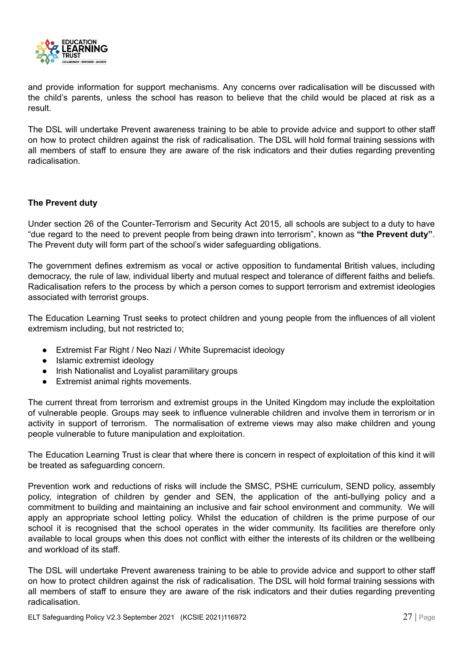

and provide information for support mechanisms. Any concerns over radicalisation will be discussed with the child's parents, unless the school has reason to believe that the child would be placed at risk as a result.

The DSL will undertake Prevent awareness training to be able to provide advice and support to other staff on how to protect children against the risk of radicalisation. The DSL will hold formal training sessions with all members of staff to ensure they are aware of the risk indicators and their duties regarding preventing radicalisation.

#### **The Prevent duty**

Under section 26 of the Counter-Terrorism and Security Act 2015, all schools are subject to a duty to have "due regard to the need to prevent people from being drawn into terrorism", known as **"the Prevent duty"**. The Prevent duty will form part of the school's wider safeguarding obligations.

The government defines extremism as vocal or active opposition to fundamental British values, including democracy, the rule of law, individual liberty and mutual respect and tolerance of different faiths and beliefs. Radicalisation refers to the process by which a person comes to support terrorism and extremist ideologies associated with terrorist groups.

The Education Learning Trust seeks to protect children and young people from the influences of all violent extremism including, but not restricted to;

- Extremist Far Right / Neo Nazi / White Supremacist ideology
- Islamic extremist ideology
- Irish Nationalist and Loyalist paramilitary groups
- Extremist animal rights movements.

The current threat from terrorism and extremist groups in the United Kingdom may include the exploitation of vulnerable people. Groups may seek to influence vulnerable children and involve them in terrorism or in activity in support of terrorism. The normalisation of extreme views may also make children and young people vulnerable to future manipulation and exploitation.

The Education Learning Trust is clear that where there is concern in respect of exploitation of this kind it will be treated as safeguarding concern.

Prevention work and reductions of risks will include the SMSC, PSHE curriculum, SEND policy, assembly policy, integration of children by gender and SEN, the application of the anti-bullying policy and a commitment to building and maintaining an inclusive and fair school environment and community. We will apply an appropriate school letting policy. Whilst the education of children is the prime purpose of our school it is recognised that the school operates in the wider community. Its facilities are therefore only available to local groups when this does not conflict with either the interests of its children or the wellbeing and workload of its staff.

The DSL will undertake Prevent awareness training to be able to provide advice and support to other staff on how to protect children against the risk of radicalisation. The DSL will hold formal training sessions with all members of staff to ensure they are aware of the risk indicators and their duties regarding preventing radicalisation.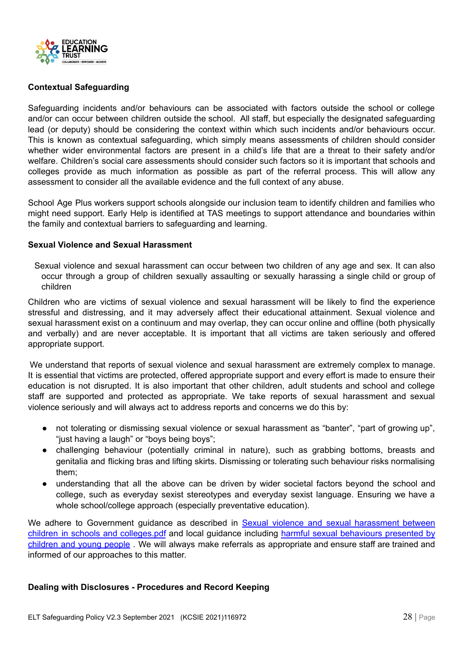

#### <span id="page-28-0"></span>**Contextual Safeguarding**

Safeguarding incidents and/or behaviours can be associated with factors outside the school or college and/or can occur between children outside the school. All staff, but especially the designated safeguarding lead (or deputy) should be considering the context within which such incidents and/or behaviours occur. This is known as contextual safeguarding, which simply means assessments of children should consider whether wider environmental factors are present in a child's life that are a threat to their safety and/or welfare. Children's social care assessments should consider such factors so it is important that schools and colleges provide as much information as possible as part of the referral process. This will allow any assessment to consider all the available evidence and the full context of any abuse.

School Age Plus workers support schools alongside our inclusion team to identify children and families who might need support. Early Help is identified at TAS meetings to support attendance and boundaries within the family and contextual barriers to safeguarding and learning.

#### <span id="page-28-1"></span>**Sexual Violence and Sexual Harassment**

Sexual violence and sexual harassment can occur between two children of any age and sex. It can also occur through a group of children sexually assaulting or sexually harassing a single child or group of children

Children who are victims of sexual violence and sexual harassment will be likely to find the experience stressful and distressing, and it may adversely affect their educational attainment. Sexual violence and sexual harassment exist on a continuum and may overlap, they can occur online and offline (both physically and verbally) and are never acceptable. It is important that all victims are taken seriously and offered appropriate support.

We understand that reports of sexual violence and sexual harassment are extremely complex to manage. It is essential that victims are protected, offered appropriate support and every effort is made to ensure their education is not disrupted. It is also important that other children, adult students and school and college staff are supported and protected as appropriate. We take reports of sexual harassment and sexual violence seriously and will always act to address reports and concerns we do this by:

- not tolerating or dismissing sexual violence or sexual harassment as "banter", "part of growing up", "just having a laugh" or "boys being boys";
- challenging behaviour (potentially criminal in nature), such as grabbing bottoms, breasts and genitalia and flicking bras and lifting skirts. Dismissing or tolerating such behaviour risks normalising them;
- understanding that all the above can be driven by wider societal factors beyond the school and college, such as everyday sexist stereotypes and everyday sexist language. Ensuring we have a whole school/college approach (especially preventative education).

We adhere to Government guidance as described in Sexual violence and sexual [harassment](https://assets.publishing.service.gov.uk/government/uploads/system/uploads/attachment_data/file/719902/Sexual_violence_and_sexual_harassment_between_children_in_schools_and_colleges.pdf) between children in schools and [colleges.pdf](https://assets.publishing.service.gov.uk/government/uploads/system/uploads/attachment_data/file/719902/Sexual_violence_and_sexual_harassment_between_children_in_schools_and_colleges.pdf) and local guidance including harmful sexual [behaviours](https://greatermanchesterscb.proceduresonline.com/chapters/p_harm_sex.html?zoom_highlight=sexual+violence) presented by [children](https://greatermanchesterscb.proceduresonline.com/chapters/p_harm_sex.html?zoom_highlight=sexual+violence) and young people. We will always make referrals as appropriate and ensure staff are trained and informed of our approaches to this matter.

#### <span id="page-28-2"></span>**Dealing with Disclosures - Procedures and Record Keeping**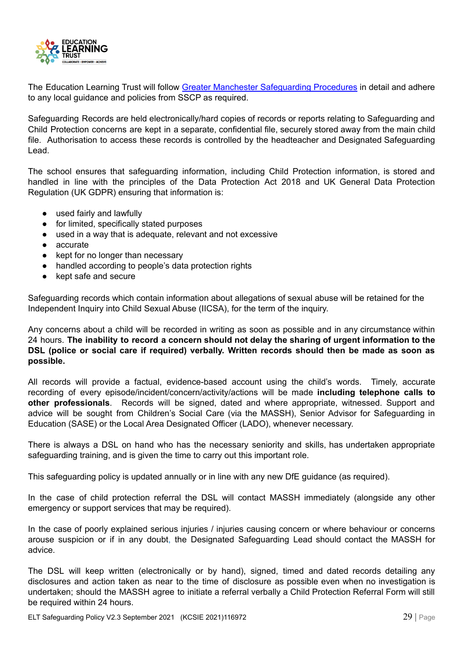

The Education Learning Trust will follow Greater Manchester [Safeguarding](http://greatermanchesterscb.proceduresonline.com/) Procedures in detail and adhere to any local guidance and policies from SSCP as required.

Safeguarding Records are held electronically/hard copies of records or reports relating to Safeguarding and Child Protection concerns are kept in a separate, confidential file, securely stored away from the main child file. Authorisation to access these records is controlled by the headteacher and Designated Safeguarding Lead.

The school ensures that safeguarding information, including Child Protection information, is stored and handled in line with the principles of the Data Protection Act 2018 and UK General Data Protection Regulation (UK GDPR) ensuring that information is:

- used fairly and lawfully
- for limited, specifically stated purposes
- used in a way that is adequate, relevant and not excessive
- accurate
- kept for no longer than necessary
- handled according to people's data protection rights
- kept safe and secure

Safeguarding records which contain information about allegations of sexual abuse will be retained for the Independent Inquiry into Child Sexual Abuse (IICSA), for the term of the inquiry.

Any concerns about a child will be recorded in writing as soon as possible and in any circumstance within 24 hours. **The inability to record a concern should not delay the sharing of urgent information to the DSL (police or social care if required) verbally. Written records should then be made as soon as possible.**

All records will provide a factual, evidence-based account using the child's words. Timely, accurate recording of every episode/incident/concern/activity/actions will be made **including telephone calls to other professionals**. Records will be signed, dated and where appropriate, witnessed. Support and advice will be sought from Children's Social Care (via the MASSH), Senior Advisor for Safeguarding in Education (SASE) or the Local Area Designated Officer (LADO), whenever necessary.

There is always a DSL on hand who has the necessary seniority and skills, has undertaken appropriate safeguarding training, and is given the time to carry out this important role.

This safeguarding policy is updated annually or in line with any new DfE guidance (as required).

In the case of child protection referral the DSL will contact MASSH immediately (alongside any other emergency or support services that may be required).

In the case of poorly explained serious injuries / injuries causing concern or where behaviour or concerns arouse suspicion or if in any doubt, the Designated Safeguarding Lead should contact the MASSH for advice.

The DSL will keep written (electronically or by hand), signed, timed and dated records detailing any disclosures and action taken as near to the time of disclosure as possible even when no investigation is undertaken; should the MASSH agree to initiate a referral verbally a Child Protection Referral Form will still be required within 24 hours.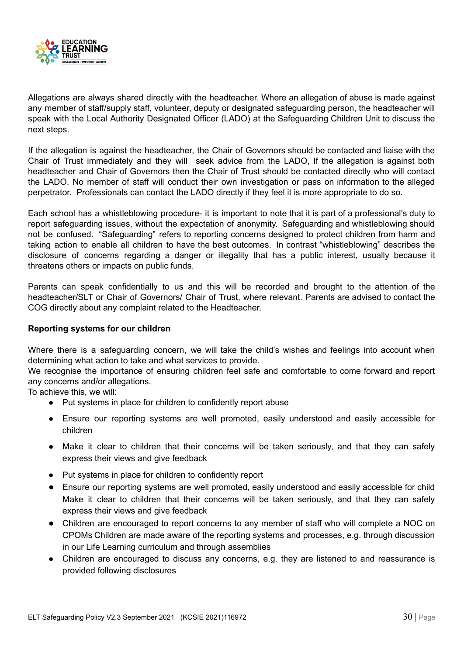

Allegations are always shared directly with the headteacher. Where an allegation of abuse is made against any member of staff/supply staff, volunteer, deputy or designated safeguarding person, the headteacher will speak with the Local Authority Designated Officer (LADO) at the Safeguarding Children Unit to discuss the next steps.

If the allegation is against the headteacher, the Chair of Governors should be contacted and liaise with the Chair of Trust immediately and they will seek advice from the LADO, If the allegation is against both headteacher and Chair of Governors then the Chair of Trust should be contacted directly who will contact the LADO. No member of staff will conduct their own investigation or pass on information to the alleged perpetrator. Professionals can contact the LADO directly if they feel it is more appropriate to do so.

Each school has a whistleblowing procedure- it is important to note that it is part of a professional's duty to report safeguarding issues, without the expectation of anonymity. Safeguarding and whistleblowing should not be confused. "Safeguarding" refers to reporting concerns designed to protect children from harm and taking action to enable all children to have the best outcomes. In contrast "whistleblowing" describes the disclosure of concerns regarding a danger or illegality that has a public interest, usually because it threatens others or impacts on public funds.

Parents can speak confidentially to us and this will be recorded and brought to the attention of the headteacher/SLT or Chair of Governors/ Chair of Trust, where relevant. Parents are advised to contact the COG directly about any complaint related to the Headteacher.

#### <span id="page-30-0"></span>**Reporting systems for our children**

Where there is a safeguarding concern, we will take the child's wishes and feelings into account when determining what action to take and what services to provide.

We recognise the importance of ensuring children feel safe and comfortable to come forward and report any concerns and/or allegations.

To achieve this, we will:

- Put systems in place for children to confidently report abuse
- Ensure our reporting systems are well promoted, easily understood and easily accessible for children
- Make it clear to children that their concerns will be taken seriously, and that they can safely express their views and give feedback
- Put systems in place for children to confidently report
- Ensure our reporting systems are well promoted, easily understood and easily accessible for child Make it clear to children that their concerns will be taken seriously, and that they can safely express their views and give feedback
- Children are encouraged to report concerns to any member of staff who will complete a NOC on CPOMs Children are made aware of the reporting systems and processes, e.g. through discussion in our Life Learning curriculum and through assemblies
- Children are encouraged to discuss any concerns, e.g. they are listened to and reassurance is provided following disclosures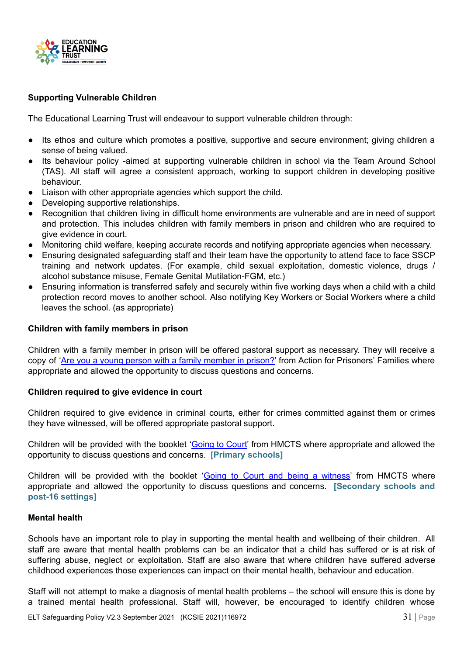

#### <span id="page-31-0"></span>**Supporting Vulnerable Children**

The Educational Learning Trust will endeavour to support vulnerable children through:

- Its ethos and culture which promotes a positive, supportive and secure environment; giving children a sense of being valued.
- Its behaviour policy -aimed at supporting vulnerable children in school via the Team Around School (TAS). All staff will agree a consistent approach, working to support children in developing positive behaviour.
- Liaison with other appropriate agencies which support the child.
- Developing supportive relationships.
- Recognition that children living in difficult home environments are vulnerable and are in need of support and protection. This includes children with family members in prison and children who are required to give evidence in court.
- Monitoring child welfare, keeping accurate records and notifying appropriate agencies when necessary.
- Ensuring designated safeguarding staff and their team have the opportunity to attend face to face SSCP training and network updates. (For example, child sexual exploitation, domestic violence, drugs / alcohol substance misuse, Female Genital Mutilation-FGM, etc.)
- Ensuring information is transferred safely and securely within five working days when a child with a child protection record moves to another school. Also notifying Key Workers or Social Workers where a child leaves the school. (as appropriate)

#### <span id="page-31-1"></span>**Children with family members in prison**

Children with a family member in prison will be offered pastoral support as necessary. They will receive a copy of 'Are you a young person with a family [member](https://www.nicco.org.uk/directory-of-resources) in prison?' from Action for Prisoners' Families where appropriate and allowed the opportunity to discuss questions and concerns.

#### <span id="page-31-2"></span>**Children required to give evidence in court**

Children required to give evidence in criminal courts, either for crimes committed against them or crimes they have witnessed, will be offered appropriate pastoral support.

Children will be provided with the booklet '[Going](https://www.gov.uk/government/publications/young-witness-booklet-for-5-to-11-year-olds) to Court' from HMCTS where appropriate and allowed the opportunity to discuss questions and concerns. **[Primary schools]**

Children will be provided with the booklet 'Going to Court and being a [witness'](https://www.gov.uk/government/publications/young-witness-booklet-for-12-to-17-year-olds) from HMCTS where appropriate and allowed the opportunity to discuss questions and concerns. **[Secondary schools and post-16 settings]**

#### <span id="page-31-3"></span>**Mental health**

Schools have an important role to play in supporting the mental health and wellbeing of their children. All staff are aware that mental health problems can be an indicator that a child has suffered or is at risk of suffering abuse, neglect or exploitation. Staff are also aware that where children have suffered adverse childhood experiences those experiences can impact on their mental health, behaviour and education.

Staff will not attempt to make a diagnosis of mental health problems – the school will ensure this is done by a trained mental health professional. Staff will, however, be encouraged to identify children whose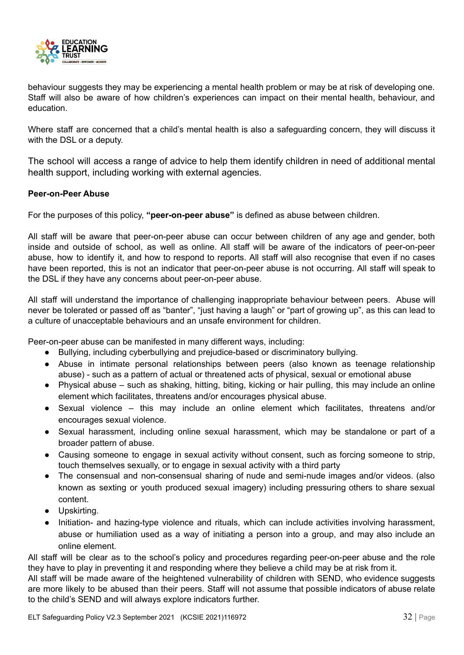

behaviour suggests they may be experiencing a mental health problem or may be at risk of developing one. Staff will also be aware of how children's experiences can impact on their mental health, behaviour, and education.

Where staff are concerned that a child's mental health is also a safeguarding concern, they will discuss it with the DSL or a deputy.

The school will access a range of advice to help them identify children in need of additional mental health support, including working with external agencies.

#### <span id="page-32-0"></span>**Peer-on-Peer Abuse**

For the purposes of this policy, **"peer-on-peer abuse"** is defined as abuse between children.

All staff will be aware that peer-on-peer abuse can occur between children of any age and gender, both inside and outside of school, as well as online. All staff will be aware of the indicators of peer-on-peer abuse, how to identify it, and how to respond to reports. All staff will also recognise that even if no cases have been reported, this is not an indicator that peer-on-peer abuse is not occurring. All staff will speak to the DSL if they have any concerns about peer-on-peer abuse.

All staff will understand the importance of challenging inappropriate behaviour between peers. Abuse will never be tolerated or passed off as "banter", "just having a laugh" or "part of growing up", as this can lead to a culture of unacceptable behaviours and an unsafe environment for children.

Peer-on-peer abuse can be manifested in many different ways, including:

- Bullying, including cyberbullying and prejudice-based or discriminatory bullying.
- Abuse in intimate personal relationships between peers (also known as teenage relationship abuse) - such as a pattern of actual or threatened acts of physical, sexual or emotional abuse
- Physical abuse such as shaking, hitting, biting, kicking or hair pulling, this may include an online element which facilitates, threatens and/or encourages physical abuse.
- Sexual violence this may include an online element which facilitates, threatens and/or encourages sexual violence.
- Sexual harassment, including online sexual harassment, which may be standalone or part of a broader pattern of abuse.
- Causing someone to engage in sexual activity without consent, such as forcing someone to strip, touch themselves sexually, or to engage in sexual activity with a third party
- The consensual and non-consensual sharing of nude and semi-nude images and/or videos. (also known as sexting or youth produced sexual imagery) including pressuring others to share sexual content.
- Upskirting.
- Initiation- and hazing-type violence and rituals, which can include activities involving harassment, abuse or humiliation used as a way of initiating a person into a group, and may also include an online element.

All staff will be clear as to the school's policy and procedures regarding peer-on-peer abuse and the role they have to play in preventing it and responding where they believe a child may be at risk from it.

All staff will be made aware of the heightened vulnerability of children with SEND, who evidence suggests are more likely to be abused than their peers. Staff will not assume that possible indicators of abuse relate to the child's SEND and will always explore indicators further.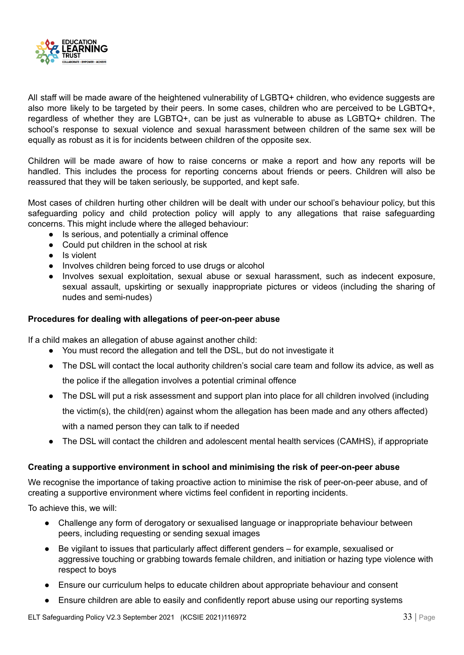

All staff will be made aware of the heightened vulnerability of LGBTQ+ children, who evidence suggests are also more likely to be targeted by their peers. In some cases, children who are perceived to be LGBTQ+, regardless of whether they are LGBTQ+, can be just as vulnerable to abuse as LGBTQ+ children. The school's response to sexual violence and sexual harassment between children of the same sex will be equally as robust as it is for incidents between children of the opposite sex.

Children will be made aware of how to raise concerns or make a report and how any reports will be handled. This includes the process for reporting concerns about friends or peers. Children will also be reassured that they will be taken seriously, be supported, and kept safe.

Most cases of children hurting other children will be dealt with under our school's behaviour policy, but this safeguarding policy and child protection policy will apply to any allegations that raise safeguarding concerns. This might include where the alleged behaviour:

- Is serious, and potentially a criminal offence
- Could put children in the school at risk
- Is violent
- Involves children being forced to use drugs or alcohol
- Involves sexual exploitation, sexual abuse or sexual harassment, such as indecent exposure, sexual assault, upskirting or sexually inappropriate pictures or videos (including the sharing of nudes and semi-nudes)

#### **Procedures for dealing with allegations of peer-on-peer abuse**

If a child makes an allegation of abuse against another child:

- You must record the allegation and tell the DSL, but do not investigate it
- The DSL will contact the local authority children's social care team and follow its advice, as well as

the police if the allegation involves a potential criminal offence

- The DSL will put a risk assessment and support plan into place for all children involved (including the victim(s), the child(ren) against whom the allegation has been made and any others affected) with a named person they can talk to if needed
- The DSL will contact the children and adolescent mental health services (CAMHS), if appropriate

#### **Creating a supportive environment in school and minimising the risk of peer-on-peer abuse**

We recognise the importance of taking proactive action to minimise the risk of peer-on-peer abuse, and of creating a supportive environment where victims feel confident in reporting incidents.

To achieve this, we will:

- Challenge any form of derogatory or sexualised language or inappropriate behaviour between peers, including requesting or sending sexual images
- Be vigilant to issues that particularly affect different genders for example, sexualised or aggressive touching or grabbing towards female children, and initiation or hazing type violence with respect to boys
- Ensure our curriculum helps to educate children about appropriate behaviour and consent
- Ensure children are able to easily and confidently report abuse using our reporting systems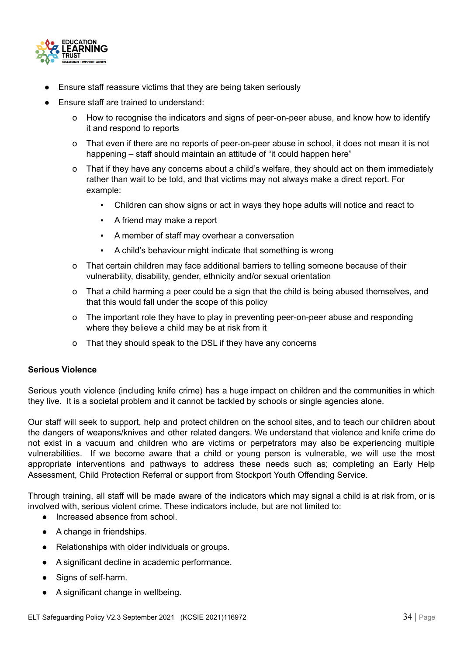

- Ensure staff reassure victims that they are being taken seriously
- Ensure staff are trained to understand:
	- o How to recognise the indicators and signs of peer-on-peer abuse, and know how to identify it and respond to reports
	- o That even if there are no reports of peer-on-peer abuse in school, it does not mean it is not happening – staff should maintain an attitude of "it could happen here"
	- o That if they have any concerns about a child's welfare, they should act on them immediately rather than wait to be told, and that victims may not always make a direct report. For example:
		- Children can show signs or act in ways they hope adults will notice and react to
		- A friend may make a report
		- A member of staff may overhear a conversation
		- A child's behaviour might indicate that something is wrong
	- o That certain children may face additional barriers to telling someone because of their vulnerability, disability, gender, ethnicity and/or sexual orientation
	- o That a child harming a peer could be a sign that the child is being abused themselves, and that this would fall under the scope of this policy
	- o The important role they have to play in preventing peer-on-peer abuse and responding where they believe a child may be at risk from it
	- o That they should speak to the DSL if they have any concerns

#### <span id="page-34-0"></span>**Serious Violence**

Serious youth violence (including knife crime) has a huge impact on children and the communities in which they live. It is a societal problem and it cannot be tackled by schools or single agencies alone.

Our staff will seek to support, help and protect children on the school sites, and to teach our children about the dangers of weapons/knives and other related dangers. We understand that violence and knife crime do not exist in a vacuum and children who are victims or perpetrators may also be experiencing multiple vulnerabilities. If we become aware that a child or young person is vulnerable, we will use the most appropriate interventions and pathways to address these needs such as; completing an Early Help Assessment, Child Protection Referral or support from Stockport Youth Offending Service.

Through training, all staff will be made aware of the indicators which may signal a child is at risk from, or is involved with, serious violent crime. These indicators include, but are not limited to:

- Increased absence from school.
- A change in friendships.
- Relationships with older individuals or groups.
- A significant decline in academic performance.
- Signs of self-harm.
- A significant change in wellbeing.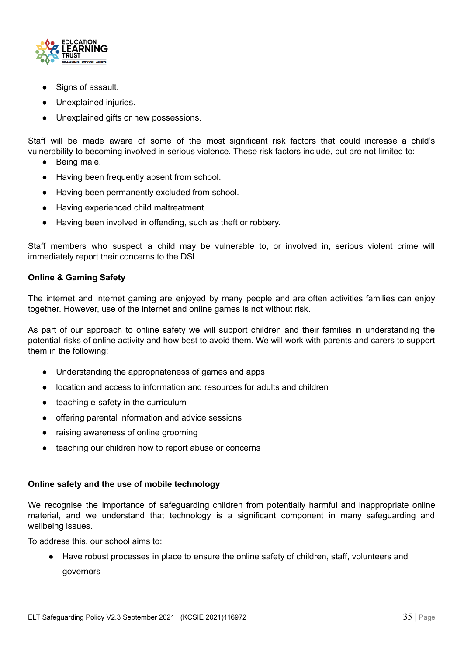

- Signs of assault.
- Unexplained injuries.
- Unexplained gifts or new possessions.

Staff will be made aware of some of the most significant risk factors that could increase a child's vulnerability to becoming involved in serious violence. These risk factors include, but are not limited to:

- Being male.
- Having been frequently absent from school.
- Having been permanently excluded from school.
- Having experienced child maltreatment.
- Having been involved in offending, such as theft or robbery.

Staff members who suspect a child may be vulnerable to, or involved in, serious violent crime will immediately report their concerns to the DSL.

#### <span id="page-35-0"></span>**Online & Gaming Safety**

The internet and internet gaming are enjoyed by many people and are often activities families can enjoy together. However, use of the internet and online games is not without risk.

As part of our approach to online safety we will support children and their families in understanding the potential risks of online activity and how best to avoid them. We will work with parents and carers to support them in the following:

- Understanding the appropriateness of games and apps
- location and access to information and resources for adults and children
- teaching e-safety in the curriculum
- offering parental information and advice sessions
- raising awareness of online grooming
- teaching our children how to report abuse or concerns

#### <span id="page-35-1"></span>**Online safety and the use of mobile technology**

We recognise the importance of safeguarding children from potentially harmful and inappropriate online material, and we understand that technology is a significant component in many safeguarding and wellbeing issues.

To address this, our school aims to:

● Have robust processes in place to ensure the online safety of children, staff, volunteers and governors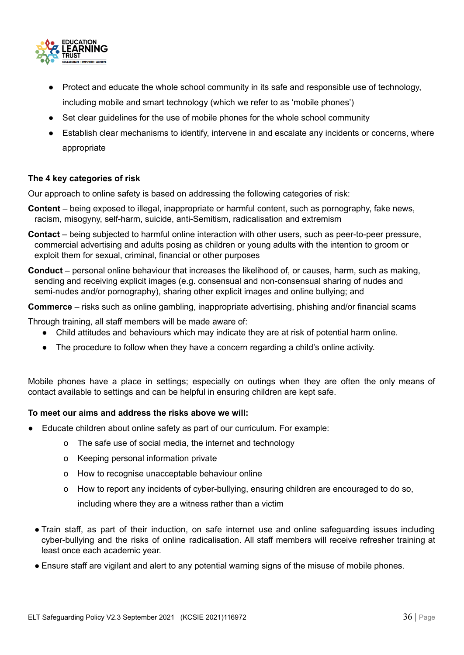

- Protect and educate the whole school community in its safe and responsible use of technology, including mobile and smart technology (which we refer to as 'mobile phones')
- Set clear quidelines for the use of mobile phones for the whole school community
- Establish clear mechanisms to identify, intervene in and escalate any incidents or concerns, where appropriate

#### **The 4 key categories of risk**

Our approach to online safety is based on addressing the following categories of risk:

- **Content** being exposed to illegal, inappropriate or harmful content, such as pornography, fake news, racism, misogyny, self-harm, suicide, anti-Semitism, radicalisation and extremism
- **Contact** being subjected to harmful online interaction with other users, such as peer-to-peer pressure, commercial advertising and adults posing as children or young adults with the intention to groom or exploit them for sexual, criminal, financial or other purposes
- **Conduct** personal online behaviour that increases the likelihood of, or causes, harm, such as making, sending and receiving explicit images (e.g. consensual and non-consensual sharing of nudes and semi-nudes and/or pornography), sharing other explicit images and online bullying; and

**Commerce** – risks such as online gambling, inappropriate advertising, phishing and/or financial scams

Through training, all staff members will be made aware of:

- Child attitudes and behaviours which may indicate they are at risk of potential harm online.
- The procedure to follow when they have a concern regarding a child's online activity.

Mobile phones have a place in settings; especially on outings when they are often the only means of contact available to settings and can be helpful in ensuring children are kept safe.

#### **To meet our aims and address the risks above we will:**

- Educate children about online safety as part of our curriculum. For example:
	- o The safe use of social media, the internet and technology
	- o Keeping personal information private
	- o How to recognise unacceptable behaviour online
	- o How to report any incidents of cyber-bullying, ensuring children are encouraged to do so,

including where they are a witness rather than a victim

- Train staff, as part of their induction, on safe internet use and online safeguarding issues including cyber-bullying and the risks of online radicalisation. All staff members will receive refresher training at least once each academic year.
- Ensure staff are vigilant and alert to any potential warning signs of the misuse of mobile phones.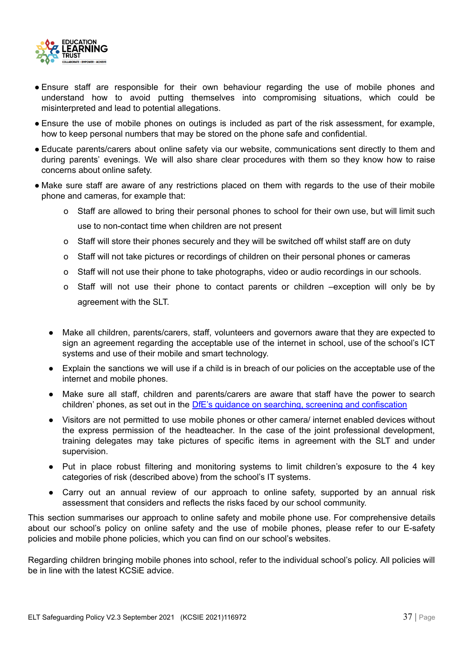

- Ensure staff are responsible for their own behaviour regarding the use of mobile phones and understand how to avoid putting themselves into compromising situations, which could be misinterpreted and lead to potential allegations.
- Ensure the use of mobile phones on outings is included as part of the risk assessment, for example, how to keep personal numbers that may be stored on the phone safe and confidential.
- Educate parents/carers about online safety via our website, communications sent directly to them and during parents' evenings. We will also share clear procedures with them so they know how to raise concerns about online safety.
- Make sure staff are aware of any restrictions placed on them with regards to the use of their mobile phone and cameras, for example that:
	- o Staff are allowed to bring their personal phones to school for their own use, but will limit such use to non-contact time when children are not present
	- o Staff will store their phones securely and they will be switched off whilst staff are on duty
	- o Staff will not take pictures or recordings of children on their personal phones or cameras
	- o Staff will not use their phone to take photographs, video or audio recordings in our schools.
	- o Staff will not use their phone to contact parents or children –exception will only be by agreement with the SLT.
	- Make all children, parents/carers, staff, volunteers and governors aware that they are expected to sign an agreement regarding the acceptable use of the internet in school, use of the school's ICT systems and use of their mobile and smart technology.
	- Explain the sanctions we will use if a child is in breach of our policies on the acceptable use of the internet and mobile phones.
	- Make sure all staff, children and parents/carers are aware that staff have the power to search children' phones, as set out in the DfE's guidance on searching, screening and [confiscation](https://www.gov.uk/government/publications/searching-screening-and-confiscation)
	- Visitors are not permitted to use mobile phones or other camera/ internet enabled devices without the express permission of the headteacher. In the case of the joint professional development, training delegates may take pictures of specific items in agreement with the SLT and under supervision.
	- Put in place robust filtering and monitoring systems to limit children's exposure to the 4 key categories of risk (described above) from the school's IT systems.
	- Carry out an annual review of our approach to online safety, supported by an annual risk assessment that considers and reflects the risks faced by our school community.

This section summarises our approach to online safety and mobile phone use. For comprehensive details about our school's policy on online safety and the use of mobile phones, please refer to our E-safety policies and mobile phone policies, which you can find on our school's websites.

Regarding children bringing mobile phones into school, refer to the individual school's policy. All policies will be in line with the latest KCSiE advice.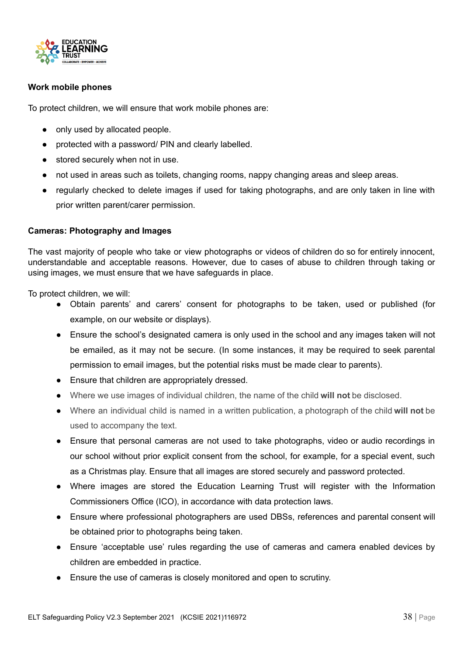

#### <span id="page-38-0"></span>**Work mobile phones**

To protect children, we will ensure that work mobile phones are:

- only used by allocated people.
- protected with a password/ PIN and clearly labelled.
- stored securely when not in use.
- not used in areas such as toilets, changing rooms, nappy changing areas and sleep areas.
- regularly checked to delete images if used for taking photographs, and are only taken in line with prior written parent/carer permission.

#### <span id="page-38-1"></span>**Cameras: Photography and Images**

The vast majority of people who take or view photographs or videos of children do so for entirely innocent, understandable and acceptable reasons. However, due to cases of abuse to children through taking or using images, we must ensure that we have safeguards in place.

To protect children, we will:

- Obtain parents' and carers' consent for photographs to be taken, used or published (for example, on our website or displays).
- Ensure the school's designated camera is only used in the school and any images taken will not be emailed, as it may not be secure. (In some instances, it may be required to seek parental permission to email images, but the potential risks must be made clear to parents).
- Ensure that children are appropriately dressed.
- Where we use images of individual children, the name of the child **will not** be disclosed.
- Where an individual child is named in a written publication, a photograph of the child **will not** be used to accompany the text.
- Ensure that personal cameras are not used to take photographs, video or audio recordings in our school without prior explicit consent from the school, for example, for a special event, such as a Christmas play. Ensure that all images are stored securely and password protected.
- Where images are stored the Education Learning Trust will register with the Information Commissioners Office (ICO), in accordance with data protection laws.
- Ensure where professional photographers are used DBSs, references and parental consent will be obtained prior to photographs being taken.
- Ensure 'acceptable use' rules regarding the use of cameras and camera enabled devices by children are embedded in practice.
- Ensure the use of cameras is closely monitored and open to scrutiny.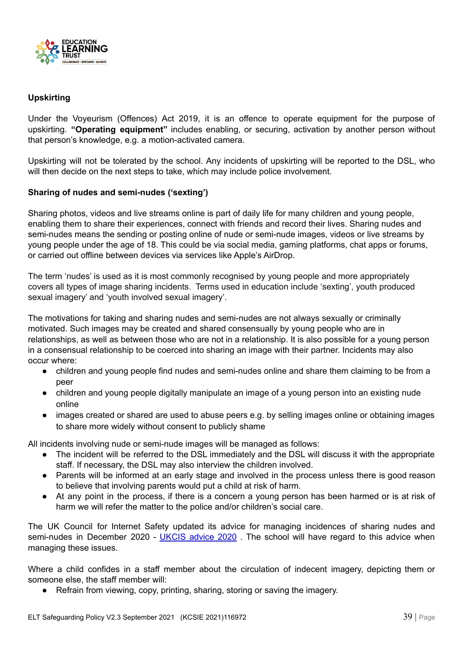

#### <span id="page-39-0"></span>**Upskirting**

Under the Voyeurism (Offences) Act 2019, it is an offence to operate equipment for the purpose of upskirting. **"Operating equipment"** includes enabling, or securing, activation by another person without that person's knowledge, e.g. a motion-activated camera.

Upskirting will not be tolerated by the school. Any incidents of upskirting will be reported to the DSL, who will then decide on the next steps to take, which may include police involvement.

#### <span id="page-39-1"></span>**Sharing of nudes and semi-nudes ('sexting')**

Sharing photos, videos and live streams online is part of daily life for many children and young people, enabling them to share their experiences, connect with friends and record their lives. Sharing nudes and semi-nudes means the sending or posting online of nude or semi-nude images, videos or live streams by young people under the age of 18. This could be via social media, gaming platforms, chat apps or forums, or carried out offline between devices via services like Apple's AirDrop.

The term 'nudes' is used as it is most commonly recognised by young people and more appropriately covers all types of image sharing incidents. Terms used in education include 'sexting', youth produced sexual imagery' and 'youth involved sexual imagery'.

The motivations for taking and sharing nudes and semi-nudes are not always sexually or criminally motivated. Such images may be created and shared consensually by young people who are in relationships, as well as between those who are not in a relationship. It is also possible for a young person in a consensual relationship to be coerced into sharing an image with their partner. Incidents may also occur where:

- children and young people find nudes and semi-nudes online and share them claiming to be from a peer
- children and young people digitally manipulate an image of a young person into an existing nude online
- images created or shared are used to abuse peers e.g. by selling images online or obtaining images to share more widely without consent to publicly shame

All incidents involving nude or semi-nude images will be managed as follows:

- The incident will be referred to the DSL immediately and the DSL will discuss it with the appropriate staff. If necessary, the DSL may also interview the children involved.
- Parents will be informed at an early stage and involved in the process unless there is good reason to believe that involving parents would put a child at risk of harm.
- At any point in the process, if there is a concern a young person has been harmed or is at risk of harm we will refer the matter to the police and/or children's social care.

The UK Council for Internet Safety updated its advice for managing incidences of sharing nudes and semi-nudes in December 2020 - [UKCIS](https://www.gov.uk/government/publications/sharing-nudes-and-semi-nudes-advice-for-education-settings-working-with-children-and-young-people/sharing-nudes-and-semi-nudes-advice-for-education-settings-working-with-children-and-young-people) advice 2020. The school will have regard to this advice when managing these issues.

Where a child confides in a staff member about the circulation of indecent imagery, depicting them or someone else, the staff member will:

● Refrain from viewing, copy, printing, sharing, storing or saving the imagery.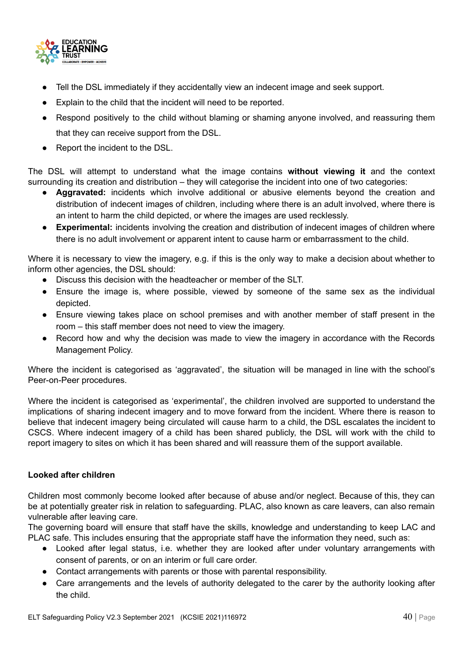

- Tell the DSL immediately if they accidentally view an indecent image and seek support.
- Explain to the child that the incident will need to be reported.
- Respond positively to the child without blaming or shaming anyone involved, and reassuring them that they can receive support from the DSL.
- Report the incident to the DSL.

The DSL will attempt to understand what the image contains **without viewing it** and the context surrounding its creation and distribution – they will categorise the incident into one of two categories:

- **Aggravated:** incidents which involve additional or abusive elements beyond the creation and distribution of indecent images of children, including where there is an adult involved, where there is an intent to harm the child depicted, or where the images are used recklessly.
- **Experimental:** incidents involving the creation and distribution of indecent images of children where there is no adult involvement or apparent intent to cause harm or embarrassment to the child.

Where it is necessary to view the imagery, e.g. if this is the only way to make a decision about whether to inform other agencies, the DSL should:

- Discuss this decision with the headteacher or member of the SLT.
- Ensure the image is, where possible, viewed by someone of the same sex as the individual depicted.
- Ensure viewing takes place on school premises and with another member of staff present in the room – this staff member does not need to view the imagery.
- Record how and why the decision was made to view the imagery in accordance with the Records Management Policy.

Where the incident is categorised as 'aggravated', the situation will be managed in line with the school's Peer-on-Peer procedures.

Where the incident is categorised as 'experimental', the children involved are supported to understand the implications of sharing indecent imagery and to move forward from the incident. Where there is reason to believe that indecent imagery being circulated will cause harm to a child, the DSL escalates the incident to CSCS. Where indecent imagery of a child has been shared publicly, the DSL will work with the child to report imagery to sites on which it has been shared and will reassure them of the support available.

#### <span id="page-40-0"></span>**Looked after children**

Children most commonly become looked after because of abuse and/or neglect. Because of this, they can be at potentially greater risk in relation to safeguarding. PLAC, also known as care leavers, can also remain vulnerable after leaving care.

The governing board will ensure that staff have the skills, knowledge and understanding to keep LAC and PLAC safe. This includes ensuring that the appropriate staff have the information they need, such as:

- Looked after legal status, i.e. whether they are looked after under voluntary arrangements with consent of parents, or on an interim or full care order.
- Contact arrangements with parents or those with parental responsibility.
- Care arrangements and the levels of authority delegated to the carer by the authority looking after the child.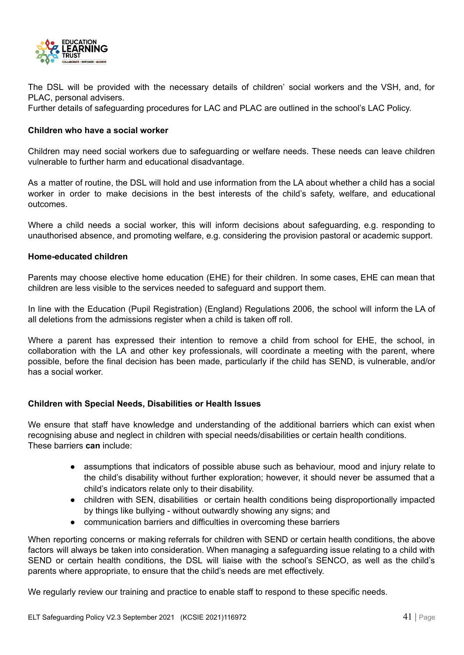

The DSL will be provided with the necessary details of children' social workers and the VSH, and, for PLAC, personal advisers.

Further details of safeguarding procedures for LAC and PLAC are outlined in the school's LAC Policy.

#### <span id="page-41-0"></span>**Children who have a social worker**

Children may need social workers due to safeguarding or welfare needs. These needs can leave children vulnerable to further harm and educational disadvantage.

As a matter of routine, the DSL will hold and use information from the LA about whether a child has a social worker in order to make decisions in the best interests of the child's safety, welfare, and educational outcomes.

Where a child needs a social worker, this will inform decisions about safeguarding, e.g. responding to unauthorised absence, and promoting welfare, e.g. considering the provision pastoral or academic support.

#### <span id="page-41-1"></span>**Home-educated children**

Parents may choose elective home education (EHE) for their children. In some cases, EHE can mean that children are less visible to the services needed to safeguard and support them.

In line with the Education (Pupil Registration) (England) Regulations 2006, the school will inform the LA of all deletions from the admissions register when a child is taken off roll.

Where a parent has expressed their intention to remove a child from school for EHE, the school, in collaboration with the LA and other key professionals, will coordinate a meeting with the parent, where possible, before the final decision has been made, particularly if the child has SEND, is vulnerable, and/or has a social worker.

#### <span id="page-41-2"></span>**Children with Special Needs, Disabilities or Health Issues**

We ensure that staff have knowledge and understanding of the additional barriers which can exist when recognising abuse and neglect in children with special needs/disabilities or certain health conditions. These barriers **can** include:

- assumptions that indicators of possible abuse such as behaviour, mood and injury relate to the child's disability without further exploration; however, it should never be assumed that a child's indicators relate only to their disability.
- children with SEN, disabilities or certain health conditions being disproportionally impacted by things like bullying - without outwardly showing any signs; and
- communication barriers and difficulties in overcoming these barriers

When reporting concerns or making referrals for children with SEND or certain health conditions, the above factors will always be taken into consideration. When managing a safeguarding issue relating to a child with SEND or certain health conditions, the DSL will liaise with the school's SENCO, as well as the child's parents where appropriate, to ensure that the child's needs are met effectively.

We regularly review our training and practice to enable staff to respond to these specific needs.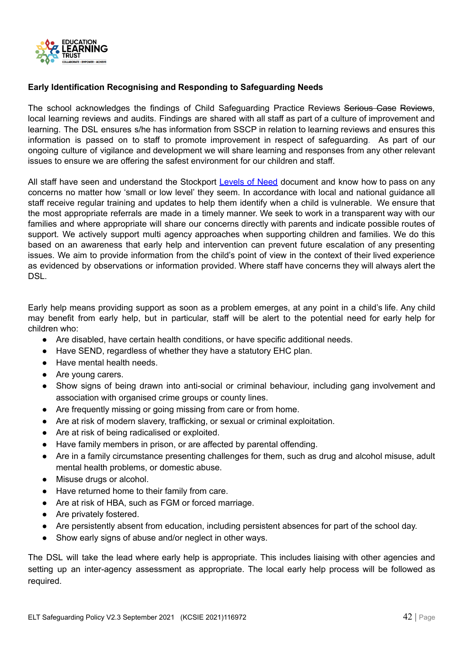

#### <span id="page-42-0"></span>**Early Identification Recognising and Responding to Safeguarding Needs**

The school acknowledges the findings of Child Safeguarding Practice Reviews Serious Case Reviews, local learning reviews and audits. Findings are shared with all staff as part of a culture of improvement and learning. The DSL ensures s/he has information from SSCP in relation to learning reviews and ensures this information is passed on to staff to promote improvement in respect of safeguarding. As part of our ongoing culture of vigilance and development we will share learning and responses from any other relevant issues to ensure we are offering the safest environment for our children and staff.

All staff have seen and understand the Stockport [Levels](http://www.safeguardingchildreninstockport.org.uk/wp-content/uploads/2017/04/Stockport-Multi-Agency-Guidance-on-Levels-of-Need.pdf) of Need document and know how to pass on any concerns no matter how 'small or low level' they seem. In accordance with local and national guidance all staff receive regular training and updates to help them identify when a child is vulnerable. We ensure that the most appropriate referrals are made in a timely manner. We seek to work in a transparent way with our families and where appropriate will share our concerns directly with parents and indicate possible routes of support. We actively support multi agency approaches when supporting children and families. We do this based on an awareness that early help and intervention can prevent future escalation of any presenting issues. We aim to provide information from the child's point of view in the context of their lived experience as evidenced by observations or information provided. Where staff have concerns they will always alert the DSL.

Early help means providing support as soon as a problem emerges, at any point in a child's life. Any child may benefit from early help, but in particular, staff will be alert to the potential need for early help for children who:

- Are disabled, have certain health conditions, or have specific additional needs.
- Have SEND, regardless of whether they have a statutory EHC plan.
- Have mental health needs.
- Are young carers.
- Show signs of being drawn into anti-social or criminal behaviour, including gang involvement and association with organised crime groups or county lines.
- Are frequently missing or going missing from care or from home.
- Are at risk of modern slavery, trafficking, or sexual or criminal exploitation.
- Are at risk of being radicalised or exploited.
- Have family members in prison, or are affected by parental offending.
- Are in a family circumstance presenting challenges for them, such as drug and alcohol misuse, adult mental health problems, or domestic abuse.
- Misuse drugs or alcohol.
- Have returned home to their family from care.
- Are at risk of HBA, such as FGM or forced marriage.
- Are privately fostered.
- Are persistently absent from education, including persistent absences for part of the school day.
- Show early signs of abuse and/or neglect in other ways.

The DSL will take the lead where early help is appropriate. This includes liaising with other agencies and setting up an inter-agency assessment as appropriate. The local early help process will be followed as required.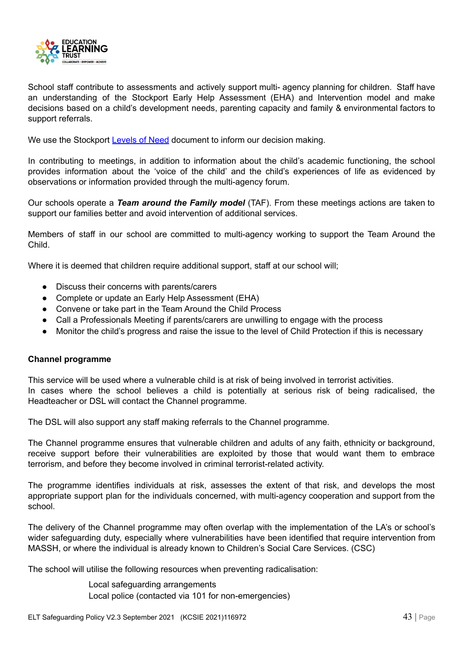

School staff contribute to assessments and actively support multi- agency planning for children. Staff have an understanding of the Stockport Early Help Assessment (EHA) and Intervention model and make decisions based on a child's development needs, parenting capacity and family & environmental factors to support referrals.

We use the Stockport [Levels](http://www.safeguardingchildreninstockport.org.uk/wp-content/uploads/2017/04/Stockport-Multi-Agency-Guidance-on-Levels-of-Need.pdf) of Need document to inform our decision making.

In contributing to meetings, in addition to information about the child's academic functioning, the school provides information about the 'voice of the child' and the child's experiences of life as evidenced by observations or information provided through the multi-agency forum.

Our schools operate a *Team around the Family model* (TAF). From these meetings actions are taken to support our families better and avoid intervention of additional services.

Members of staff in our school are committed to multi-agency working to support the Team Around the Child.

Where it is deemed that children require additional support, staff at our school will;

- Discuss their concerns with parents/carers
- Complete or update an Early Help Assessment (EHA)
- Convene or take part in the Team Around the Child Process
- Call a Professionals Meeting if parents/carers are unwilling to engage with the process
- Monitor the child's progress and raise the issue to the level of Child Protection if this is necessary

#### <span id="page-43-0"></span>**Channel programme**

This service will be used where a vulnerable child is at risk of being involved in terrorist activities. In cases where the school believes a child is potentially at serious risk of being radicalised, the Headteacher or DSL will contact the Channel programme.

The DSL will also support any staff making referrals to the Channel programme.

The Channel programme ensures that vulnerable children and adults of any faith, ethnicity or background, receive support before their vulnerabilities are exploited by those that would want them to embrace terrorism, and before they become involved in criminal terrorist-related activity.

The programme identifies individuals at risk, assesses the extent of that risk, and develops the most appropriate support plan for the individuals concerned, with multi-agency cooperation and support from the school.

The delivery of the Channel programme may often overlap with the implementation of the LA's or school's wider safeguarding duty, especially where vulnerabilities have been identified that require intervention from MASSH, or where the individual is already known to Children's Social Care Services. (CSC)

The school will utilise the following resources when preventing radicalisation:

Local safeguarding arrangements Local police (contacted via 101 for non-emergencies)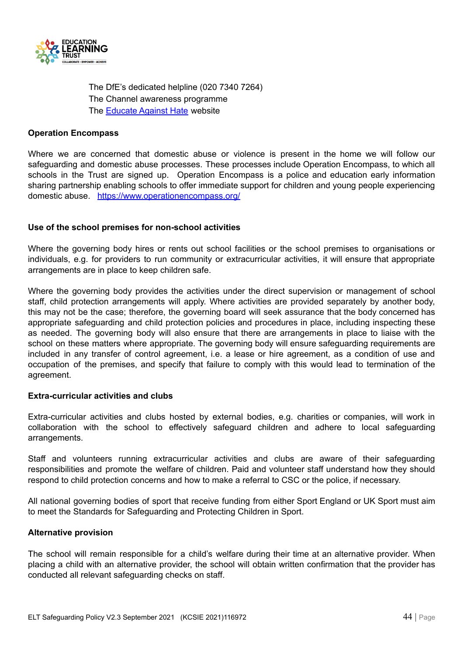

The DfE's dedicated helpline (020 7340 7264) The Channel awareness programme The [Educate](http://educateagainsthate.com/) Against Hate website

#### **Operation Encompass**

Where we are concerned that domestic abuse or violence is present in the home we will follow our safeguarding and domestic abuse processes. These processes include Operation Encompass, to which all schools in the Trust are signed up. Operation Encompass is a police and education early information sharing partnership enabling schools to offer immediate support for children and young people experiencing domestic abuse. <https://www.operationencompass.org/>

#### <span id="page-44-0"></span>**Use of the school premises for non-school activities**

Where the governing body hires or rents out school facilities or the school premises to organisations or individuals, e.g. for providers to run community or extracurricular activities, it will ensure that appropriate arrangements are in place to keep children safe.

Where the governing body provides the activities under the direct supervision or management of school staff, child protection arrangements will apply. Where activities are provided separately by another body, this may not be the case; therefore, the governing board will seek assurance that the body concerned has appropriate safeguarding and child protection policies and procedures in place, including inspecting these as needed. The governing body will also ensure that there are arrangements in place to liaise with the school on these matters where appropriate. The governing body will ensure safeguarding requirements are included in any transfer of control agreement, i.e. a lease or hire agreement, as a condition of use and occupation of the premises, and specify that failure to comply with this would lead to termination of the agreement.

#### **Extra-curricular activities and clubs**

Extra-curricular activities and clubs hosted by external bodies, e.g. charities or companies, will work in collaboration with the school to effectively safeguard children and adhere to local safeguarding arrangements.

Staff and volunteers running extracurricular activities and clubs are aware of their safeguarding responsibilities and promote the welfare of children. Paid and volunteer staff understand how they should respond to child protection concerns and how to make a referral to CSC or the police, if necessary.

All national governing bodies of sport that receive funding from either Sport England or UK Sport must aim to meet the Standards for Safeguarding and Protecting Children in Sport.

#### <span id="page-44-1"></span>**Alternative provision**

The school will remain responsible for a child's welfare during their time at an alternative provider. When placing a child with an alternative provider, the school will obtain written confirmation that the provider has conducted all relevant safeguarding checks on staff.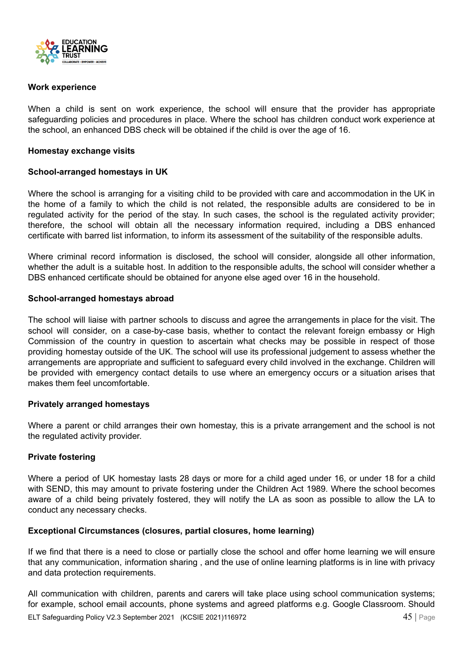

#### <span id="page-45-0"></span>**Work experience**

When a child is sent on work experience, the school will ensure that the provider has appropriate safeguarding policies and procedures in place. Where the school has children conduct work experience at the school, an enhanced DBS check will be obtained if the child is over the age of 16.

#### <span id="page-45-1"></span>**Homestay exchange visits**

#### <span id="page-45-2"></span>**School-arranged homestays in UK**

Where the school is arranging for a visiting child to be provided with care and accommodation in the UK in the home of a family to which the child is not related, the responsible adults are considered to be in regulated activity for the period of the stay. In such cases, the school is the regulated activity provider; therefore, the school will obtain all the necessary information required, including a DBS enhanced certificate with barred list information, to inform its assessment of the suitability of the responsible adults.

Where criminal record information is disclosed, the school will consider, alongside all other information, whether the adult is a suitable host. In addition to the responsible adults, the school will consider whether a DBS enhanced certificate should be obtained for anyone else aged over 16 in the household.

#### <span id="page-45-3"></span>**School-arranged homestays abroad**

The school will liaise with partner schools to discuss and agree the arrangements in place for the visit. The school will consider, on a case-by-case basis, whether to contact the relevant foreign embassy or High Commission of the country in question to ascertain what checks may be possible in respect of those providing homestay outside of the UK. The school will use its professional judgement to assess whether the arrangements are appropriate and sufficient to safeguard every child involved in the exchange. Children will be provided with emergency contact details to use where an emergency occurs or a situation arises that makes them feel uncomfortable.

#### <span id="page-45-4"></span>**Privately arranged homestays**

Where a parent or child arranges their own homestay, this is a private arrangement and the school is not the regulated activity provider.

#### <span id="page-45-5"></span>**Private fostering**

Where a period of UK homestay lasts 28 days or more for a child aged under 16, or under 18 for a child with SEND, this may amount to private fostering under the Children Act 1989. Where the school becomes aware of a child being privately fostered, they will notify the LA as soon as possible to allow the LA to conduct any necessary checks.

#### <span id="page-45-6"></span>**Exceptional Circumstances (closures, partial closures, home learning)**

If we find that there is a need to close or partially close the school and offer home learning we will ensure that any communication, information sharing , and the use of online learning platforms is in line with privacy and data protection requirements.

All communication with children, parents and carers will take place using school communication systems; for example, school email accounts, phone systems and agreed platforms e.g. Google Classroom. Should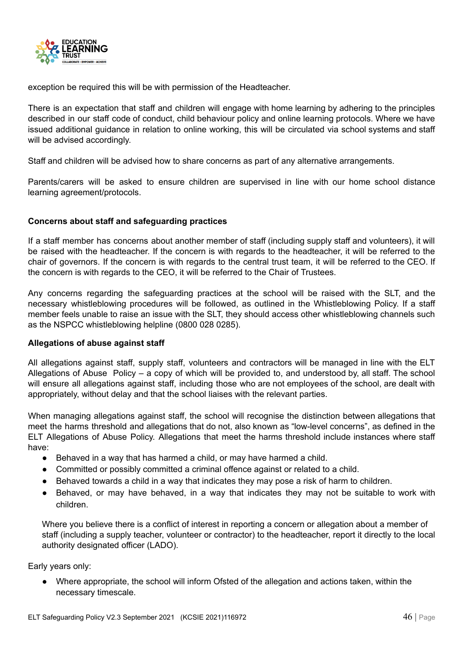

exception be required this will be with permission of the Headteacher.

There is an expectation that staff and children will engage with home learning by adhering to the principles described in our staff code of conduct, child behaviour policy and online learning protocols. Where we have issued additional guidance in relation to online working, this will be circulated via school systems and staff will be advised accordingly.

Staff and children will be advised how to share concerns as part of any alternative arrangements.

Parents/carers will be asked to ensure children are supervised in line with our home school distance learning agreement/protocols.

#### <span id="page-46-0"></span>**Concerns about staff and safeguarding practices**

If a staff member has concerns about another member of staff (including supply staff and volunteers), it will be raised with the headteacher. If the concern is with regards to the headteacher, it will be referred to the chair of governors. If the concern is with regards to the central trust team, it will be referred to the CEO. If the concern is with regards to the CEO, it will be referred to the Chair of Trustees.

Any concerns regarding the safeguarding practices at the school will be raised with the SLT, and the necessary whistleblowing procedures will be followed, as outlined in the Whistleblowing Policy. If a staff member feels unable to raise an issue with the SLT, they should access other whistleblowing channels such as the NSPCC whistleblowing helpline (0800 028 0285).

#### <span id="page-46-1"></span>**Allegations of abuse against staff**

All allegations against staff, supply staff, volunteers and contractors will be managed in line with the ELT Allegations of Abuse Policy – a copy of which will be provided to, and understood by, all staff. The school will ensure all allegations against staff, including those who are not employees of the school, are dealt with appropriately, without delay and that the school liaises with the relevant parties.

When managing allegations against staff, the school will recognise the distinction between allegations that meet the harms threshold and allegations that do not, also known as "low-level concerns", as defined in the ELT Allegations of Abuse Policy. Allegations that meet the harms threshold include instances where staff have:

- Behaved in a way that has harmed a child, or may have harmed a child.
- Committed or possibly committed a criminal offence against or related to a child.
- Behaved towards a child in a way that indicates they may pose a risk of harm to children.
- Behaved, or may have behaved, in a way that indicates they may not be suitable to work with children.

Where you believe there is a conflict of interest in reporting a concern or allegation about a member of staff (including a supply teacher, volunteer or contractor) to the headteacher, report it directly to the local authority designated officer (LADO).

Early years only:

● Where appropriate, the school will inform Ofsted of the allegation and actions taken, within the necessary timescale.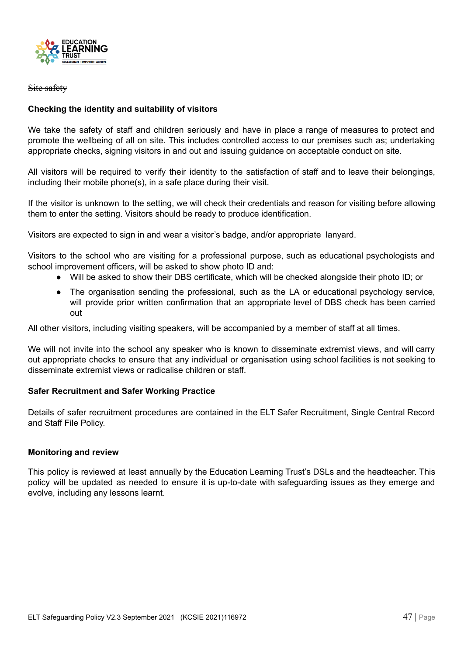

#### Site safety

#### <span id="page-47-0"></span>**Checking the identity and suitability of visitors**

We take the safety of staff and children seriously and have in place a range of measures to protect and promote the wellbeing of all on site. This includes controlled access to our premises such as; undertaking appropriate checks, signing visitors in and out and issuing guidance on acceptable conduct on site.

All visitors will be required to verify their identity to the satisfaction of staff and to leave their belongings, including their mobile phone(s), in a safe place during their visit.

If the visitor is unknown to the setting, we will check their credentials and reason for visiting before allowing them to enter the setting. Visitors should be ready to produce identification.

Visitors are expected to sign in and wear a visitor's badge, and/or appropriate lanyard.

Visitors to the school who are visiting for a professional purpose, such as educational psychologists and school improvement officers, will be asked to show photo ID and:

- Will be asked to show their DBS certificate, which will be checked alongside their photo ID; or
- The organisation sending the professional, such as the LA or educational psychology service, will provide prior written confirmation that an appropriate level of DBS check has been carried out

All other visitors, including visiting speakers, will be accompanied by a member of staff at all times.

We will not invite into the school any speaker who is known to disseminate extremist views, and will carry out appropriate checks to ensure that any individual or organisation using school facilities is not seeking to disseminate extremist views or radicalise children or staff.

#### <span id="page-47-1"></span>**Safer Recruitment and Safer Working Practice**

Details of safer recruitment procedures are contained in the ELT Safer Recruitment, Single Central Record and Staff File Policy.

#### <span id="page-47-2"></span>**Monitoring and review**

This policy is reviewed at least annually by the Education Learning Trust's DSLs and the headteacher. This policy will be updated as needed to ensure it is up-to-date with safeguarding issues as they emerge and evolve, including any lessons learnt.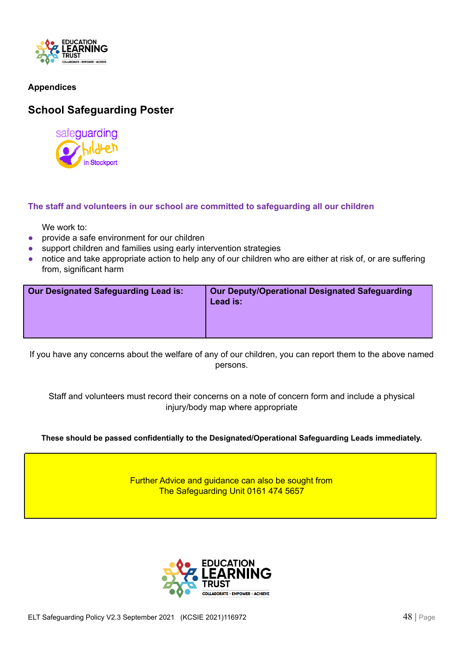

#### <span id="page-48-0"></span>**Appendices**

### <span id="page-48-1"></span>**School Safeguarding Poster**



#### **The staff and volunteers in our school are committed to safeguarding all our children**

We work to:

- provide a safe environment for our children
- support children and families using early intervention strategies
- notice and take appropriate action to help any of our children who are either at risk of, or are suffering from, significant harm

| <b>Our Deputy/Operational Designated Safeguarding</b><br><b>Our Designated Safeguarding Lead is:</b><br>Lead is: |
|------------------------------------------------------------------------------------------------------------------|
|------------------------------------------------------------------------------------------------------------------|

If you have any concerns about the welfare of any of our children, you can report them to the above named persons.

Staff and volunteers must record their concerns on a note of concern form and include a physical injury/body map where appropriate

#### **These should be passed confidentially to the Designated/Operational Safeguarding Leads immediately.**

Further Advice and guidance can also be sought from The Safeguarding Unit 0161 474 5657

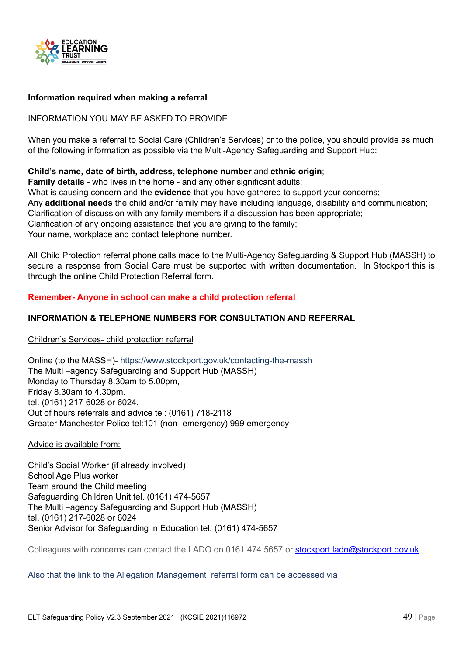

#### <span id="page-49-0"></span>**Information required when making a referral**

#### INFORMATION YOU MAY BE ASKED TO PROVIDE

When you make a referral to Social Care (Children's Services) or to the police, you should provide as much of the following information as possible via the Multi-Agency Safeguarding and Support Hub:

#### **Child's name, date of birth, address, telephone number** and **ethnic origin**;

**Family details** - who lives in the home - and any other significant adults; What is causing concern and the **evidence** that you have gathered to support your concerns; Any **additional needs** the child and/or family may have including language, disability and communication; Clarification of discussion with any family members if a discussion has been appropriate; Clarification of any ongoing assistance that you are giving to the family; Your name, workplace and contact telephone number.

All Child Protection referral phone calls made to the Multi-Agency Safeguarding & Support Hub (MASSH) to secure a response from Social Care must be supported with written documentation. In Stockport this is through the online Child Protection Referral form.

#### **Remember- Anyone in school can make a child protection referral**

#### **INFORMATION & TELEPHONE NUMBERS FOR CONSULTATION AND REFERRAL**

Children's Services- child protection referral

Online (to the MASSH)- <https://www.stockport.gov.uk/contacting-the-massh> The Multi –agency Safeguarding and Support Hub (MASSH) Monday to Thursday 8.30am to 5.00pm, Friday 8.30am to 4.30pm. tel. (0161) 217-6028 or 6024. Out of hours referrals and advice tel: (0161) 718-2118 Greater Manchester Police tel:101 (non- emergency) 999 emergency

#### Advice is available from:

Child's Social Worker (if already involved) School Age Plus worker Team around the Child meeting Safeguarding Children Unit tel. (0161) 474-5657 The Multi –agency Safeguarding and Support Hub (MASSH) tel. (0161) 217-6028 or 6024 Senior Advisor for Safeguarding in Education tel. (0161) 474-5657

Colleagues with concerns can contact the LADO on 0161 474 5657 or [stockport.lado@stockport.gov.uk](mailto:stockport.lado@stockport.gov.uk)

Also that the link to the Allegation Management referral form can be accessed via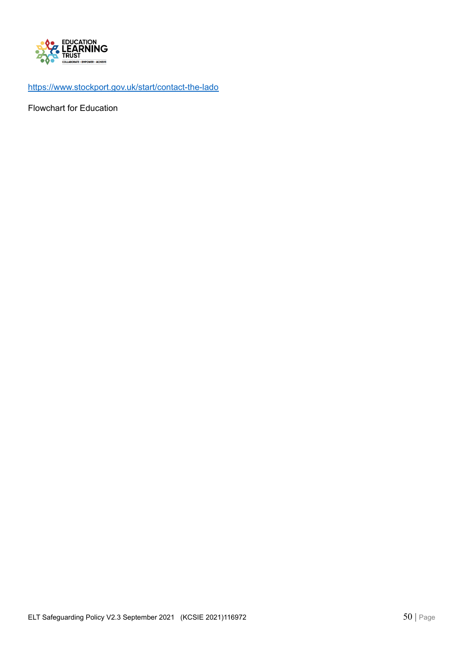

<https://www.stockport.gov.uk/start/contact-the-lado>

Flowchart for Education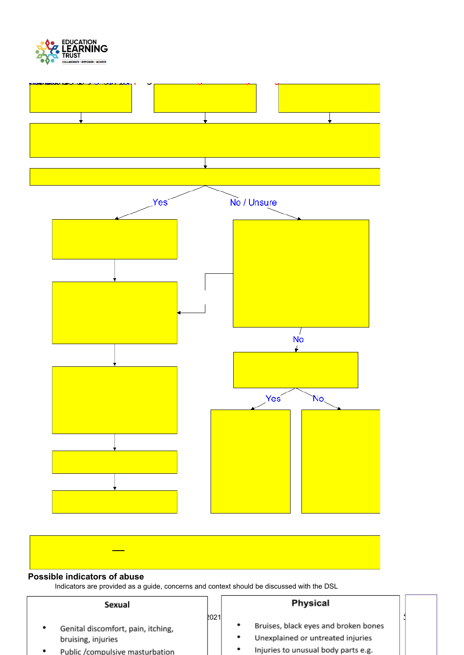



<span id="page-51-0"></span>

| Sexual                             |             |   | <b>Physical</b>                      |  |
|------------------------------------|-------------|---|--------------------------------------|--|
|                                    | <b>2021</b> |   |                                      |  |
| Genital discomfort, pain, itching, |             | ٠ | Bruises, black eyes and broken bones |  |
| bruising, injuries                 |             | ٠ | Unexplained or untreated injuries    |  |
| Public /compulsive masturbation    |             | ٠ | Injuries to unusual body parts e.g.  |  |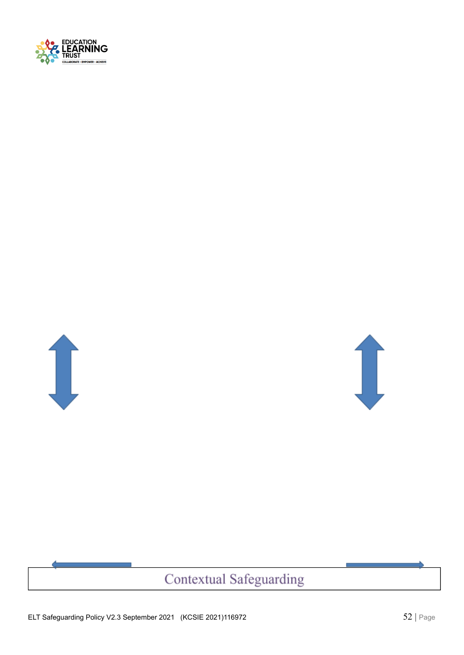





# Contextual Safeguarding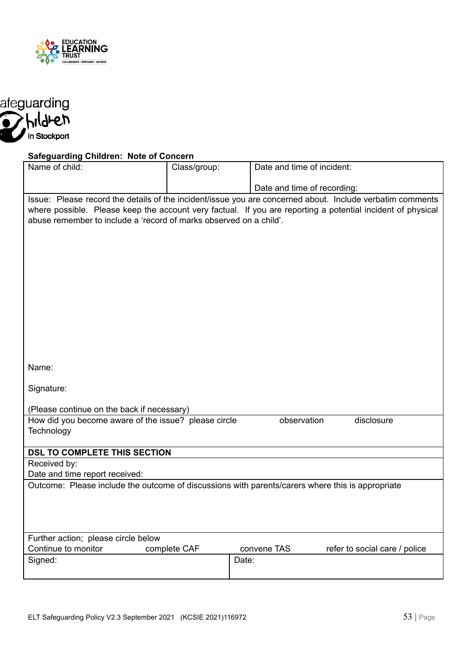

<span id="page-53-0"></span>

#### **Safeguarding Children: Note of Concern**

| Name of child:                                                                                              | Class/group: | Date and time of incident:  |                               |  |
|-------------------------------------------------------------------------------------------------------------|--------------|-----------------------------|-------------------------------|--|
|                                                                                                             |              | Date and time of recording: |                               |  |
| Issue: Please record the details of the incident/issue you are concerned about. Include verbatim comments   |              |                             |                               |  |
| where possible. Please keep the account very factual. If you are reporting a potential incident of physical |              |                             |                               |  |
| abuse remember to include a 'record of marks observed on a child'.                                          |              |                             |                               |  |
|                                                                                                             |              |                             |                               |  |
|                                                                                                             |              |                             |                               |  |
|                                                                                                             |              |                             |                               |  |
|                                                                                                             |              |                             |                               |  |
|                                                                                                             |              |                             |                               |  |
|                                                                                                             |              |                             |                               |  |
|                                                                                                             |              |                             |                               |  |
|                                                                                                             |              |                             |                               |  |
|                                                                                                             |              |                             |                               |  |
|                                                                                                             |              |                             |                               |  |
|                                                                                                             |              |                             |                               |  |
|                                                                                                             |              |                             |                               |  |
| Name:                                                                                                       |              |                             |                               |  |
| Signature:                                                                                                  |              |                             |                               |  |
|                                                                                                             |              |                             |                               |  |
| (Please continue on the back if necessary)                                                                  |              |                             |                               |  |
| How did you become aware of the issue? please circle                                                        |              | observation                 | disclosure                    |  |
| Technology                                                                                                  |              |                             |                               |  |
|                                                                                                             |              |                             |                               |  |
| DSL TO COMPLETE THIS SECTION                                                                                |              |                             |                               |  |
| Received by:                                                                                                |              |                             |                               |  |
| Date and time report received:                                                                              |              |                             |                               |  |
| Outcome: Please include the outcome of discussions with parents/carers where this is appropriate            |              |                             |                               |  |
|                                                                                                             |              |                             |                               |  |
|                                                                                                             |              |                             |                               |  |
|                                                                                                             |              |                             |                               |  |
| Further action; please circle below                                                                         |              |                             |                               |  |
| Continue to monitor                                                                                         | complete CAF | convene TAS                 | refer to social care / police |  |
| Signed:                                                                                                     |              | Date:                       |                               |  |
|                                                                                                             |              |                             |                               |  |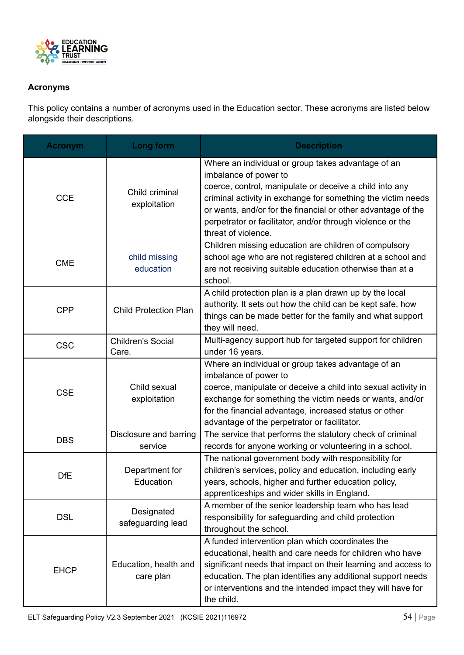

#### <span id="page-54-0"></span>**Acronyms**

This policy contains a number of acronyms used in the Education sector. These acronyms are listed below alongside their descriptions.

| <b>Acronym</b> | Long form                          | <b>Description</b>                                                                                                                                                                                                                                                                                                                                          |
|----------------|------------------------------------|-------------------------------------------------------------------------------------------------------------------------------------------------------------------------------------------------------------------------------------------------------------------------------------------------------------------------------------------------------------|
| <b>CCE</b>     | Child criminal<br>exploitation     | Where an individual or group takes advantage of an<br>imbalance of power to<br>coerce, control, manipulate or deceive a child into any<br>criminal activity in exchange for something the victim needs<br>or wants, and/or for the financial or other advantage of the<br>perpetrator or facilitator, and/or through violence or the<br>threat of violence. |
| <b>CME</b>     | child missing<br>education         | Children missing education are children of compulsory<br>school age who are not registered children at a school and<br>are not receiving suitable education otherwise than at a<br>school.                                                                                                                                                                  |
| <b>CPP</b>     | <b>Child Protection Plan</b>       | A child protection plan is a plan drawn up by the local<br>authority. It sets out how the child can be kept safe, how<br>things can be made better for the family and what support<br>they will need.                                                                                                                                                       |
| <b>CSC</b>     | Children's Social<br>Care.         | Multi-agency support hub for targeted support for children<br>under 16 years.                                                                                                                                                                                                                                                                               |
| <b>CSE</b>     | Child sexual<br>exploitation       | Where an individual or group takes advantage of an<br>imbalance of power to<br>coerce, manipulate or deceive a child into sexual activity in<br>exchange for something the victim needs or wants, and/or<br>for the financial advantage, increased status or other<br>advantage of the perpetrator or facilitator.                                          |
| <b>DBS</b>     | Disclosure and barring<br>service  | The service that performs the statutory check of criminal<br>records for anyone working or volunteering in a school.                                                                                                                                                                                                                                        |
| <b>DfE</b>     | Department for<br>Education        | The national government body with responsibility for<br>children's services, policy and education, including early<br>years, schools, higher and further education policy,<br>apprenticeships and wider skills in England.                                                                                                                                  |
| <b>DSL</b>     | Designated<br>safeguarding lead    | A member of the senior leadership team who has lead<br>responsibility for safeguarding and child protection<br>throughout the school.                                                                                                                                                                                                                       |
| <b>EHCP</b>    | Education, health and<br>care plan | A funded intervention plan which coordinates the<br>educational, health and care needs for children who have<br>significant needs that impact on their learning and access to<br>education. The plan identifies any additional support needs<br>or interventions and the intended impact they will have for<br>the child.                                   |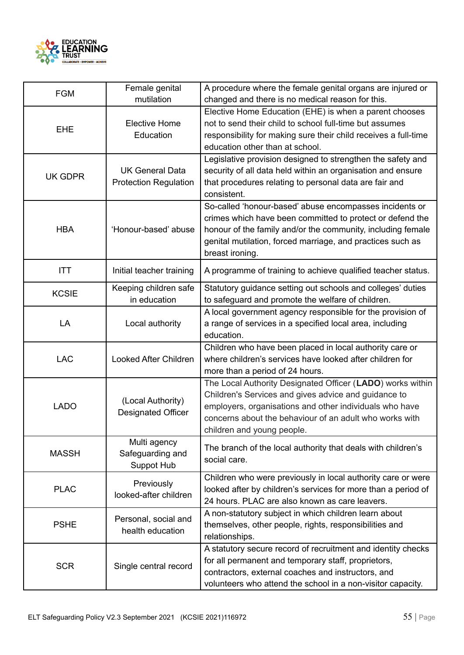

| <b>FGM</b>     | Female genital<br>mutilation                           | A procedure where the female genital organs are injured or<br>changed and there is no medical reason for this.                                                                                                                                                         |
|----------------|--------------------------------------------------------|------------------------------------------------------------------------------------------------------------------------------------------------------------------------------------------------------------------------------------------------------------------------|
| <b>EHE</b>     | <b>Elective Home</b><br>Education                      | Elective Home Education (EHE) is when a parent chooses<br>not to send their child to school full-time but assumes<br>responsibility for making sure their child receives a full-time<br>education other than at school.                                                |
| <b>UK GDPR</b> | <b>UK General Data</b><br><b>Protection Regulation</b> | Legislative provision designed to strengthen the safety and<br>security of all data held within an organisation and ensure<br>that procedures relating to personal data are fair and<br>consistent.                                                                    |
| <b>HBA</b>     | 'Honour-based' abuse                                   | So-called 'honour-based' abuse encompasses incidents or<br>crimes which have been committed to protect or defend the<br>honour of the family and/or the community, including female<br>genital mutilation, forced marriage, and practices such as<br>breast ironing.   |
| <b>ITT</b>     | Initial teacher training                               | A programme of training to achieve qualified teacher status.                                                                                                                                                                                                           |
| <b>KCSIE</b>   | Keeping children safe<br>in education                  | Statutory guidance setting out schools and colleges' duties<br>to safeguard and promote the welfare of children.                                                                                                                                                       |
| LA             | Local authority                                        | A local government agency responsible for the provision of<br>a range of services in a specified local area, including<br>education.                                                                                                                                   |
| <b>LAC</b>     | Looked After Children                                  | Children who have been placed in local authority care or<br>where children's services have looked after children for<br>more than a period of 24 hours.                                                                                                                |
| <b>LADO</b>    | (Local Authority)<br><b>Designated Officer</b>         | The Local Authority Designated Officer (LADO) works within<br>Children's Services and gives advice and guidance to<br>employers, organisations and other individuals who have<br>concerns about the behaviour of an adult who works with<br>children and young people. |
| <b>MASSH</b>   | Multi agency<br>Safeguarding and<br>Suppot Hub         | The branch of the local authority that deals with children's<br>social care.                                                                                                                                                                                           |
| <b>PLAC</b>    | Previously<br>looked-after children                    | Children who were previously in local authority care or were<br>looked after by children's services for more than a period of<br>24 hours. PLAC are also known as care leavers.                                                                                        |
| <b>PSHE</b>    | Personal, social and<br>health education               | A non-statutory subject in which children learn about<br>themselves, other people, rights, responsibilities and<br>relationships.                                                                                                                                      |
| <b>SCR</b>     | Single central record                                  | A statutory secure record of recruitment and identity checks<br>for all permanent and temporary staff, proprietors,<br>contractors, external coaches and instructors, and<br>volunteers who attend the school in a non-visitor capacity.                               |